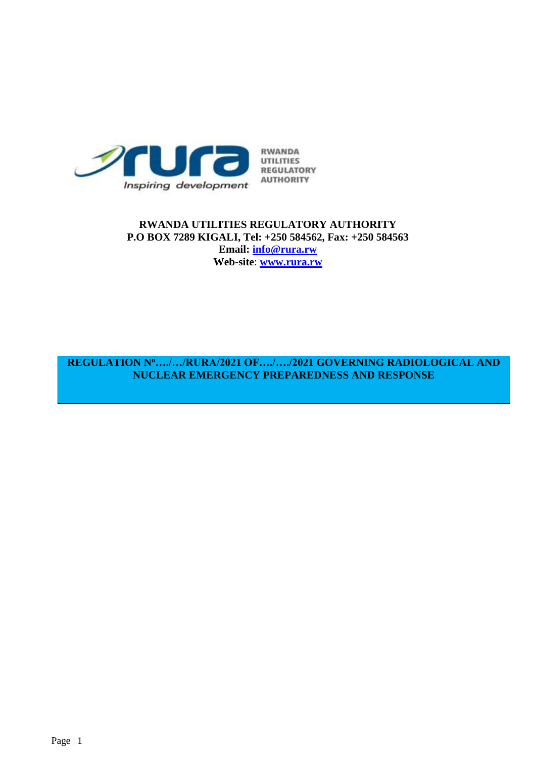

### **RWANDA UTILITIES REGULATORY AUTHORITY P.O BOX 7289 KIGALI, Tel: +250 584562, Fax: +250 584563 Email: [info@rura.rw](mailto:info@rura.rw)  Web-site**: **[www.rura.rw](http://www.rura.rw/)**

### **REGULATION N<sup>o</sup>…./…/RURA/2021 OF…./…./2021 GOVERNING RADIOLOGICAL AND NUCLEAR EMERGENCY PREPAREDNESS AND RESPONSE**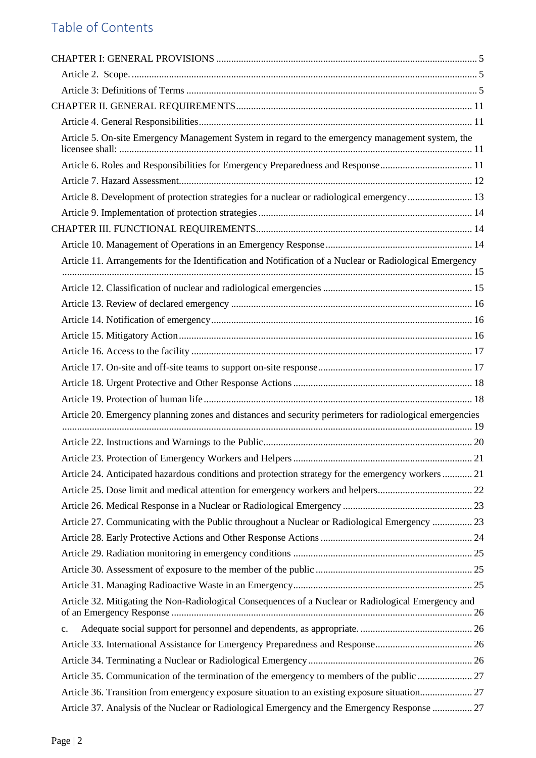# Table of Contents

| Article 5. On-site Emergency Management System in regard to the emergency management system, the        |  |
|---------------------------------------------------------------------------------------------------------|--|
| Article 6. Roles and Responsibilities for Emergency Preparedness and Response11                         |  |
|                                                                                                         |  |
| Article 8. Development of protection strategies for a nuclear or radiological emergency 13              |  |
|                                                                                                         |  |
|                                                                                                         |  |
|                                                                                                         |  |
| Article 11. Arrangements for the Identification and Notification of a Nuclear or Radiological Emergency |  |
|                                                                                                         |  |
|                                                                                                         |  |
|                                                                                                         |  |
|                                                                                                         |  |
|                                                                                                         |  |
|                                                                                                         |  |
|                                                                                                         |  |
|                                                                                                         |  |
| Article 20. Emergency planning zones and distances and security perimeters for radiological emergencies |  |
|                                                                                                         |  |
|                                                                                                         |  |
| Article 24. Anticipated hazardous conditions and protection strategy for the emergency workers  21      |  |
|                                                                                                         |  |
|                                                                                                         |  |
| Article 27. Communicating with the Public throughout a Nuclear or Radiological Emergency  23            |  |
|                                                                                                         |  |
|                                                                                                         |  |
|                                                                                                         |  |
|                                                                                                         |  |
| Article 32. Mitigating the Non-Radiological Consequences of a Nuclear or Radiological Emergency and     |  |
| c.                                                                                                      |  |
|                                                                                                         |  |
|                                                                                                         |  |
|                                                                                                         |  |
| Article 36. Transition from emergency exposure situation to an existing exposure situation 27           |  |
| Article 37. Analysis of the Nuclear or Radiological Emergency and the Emergency Response  27            |  |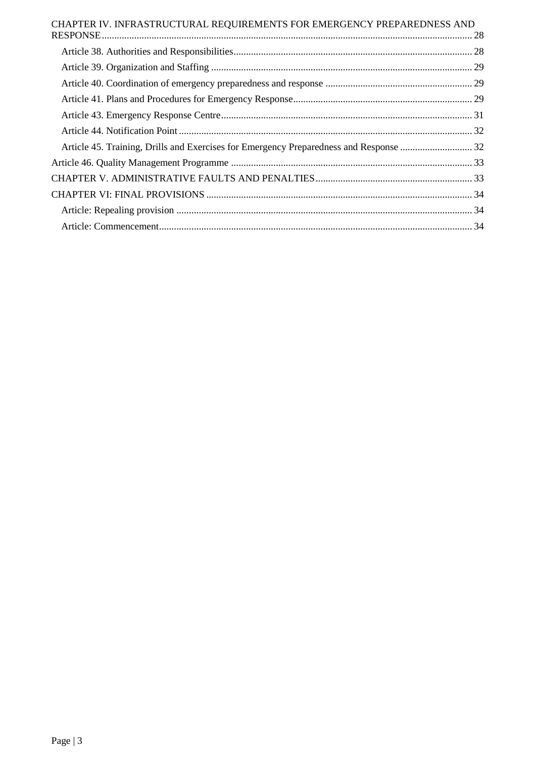| CHAPTER IV. INFRASTRUCTURAL REQUIREMENTS FOR EMERGENCY PREPAREDNESS AND                |  |
|----------------------------------------------------------------------------------------|--|
|                                                                                        |  |
|                                                                                        |  |
|                                                                                        |  |
|                                                                                        |  |
|                                                                                        |  |
|                                                                                        |  |
|                                                                                        |  |
| Article 45. Training, Drills and Exercises for Emergency Preparedness and Response  32 |  |
|                                                                                        |  |
|                                                                                        |  |
|                                                                                        |  |
|                                                                                        |  |
|                                                                                        |  |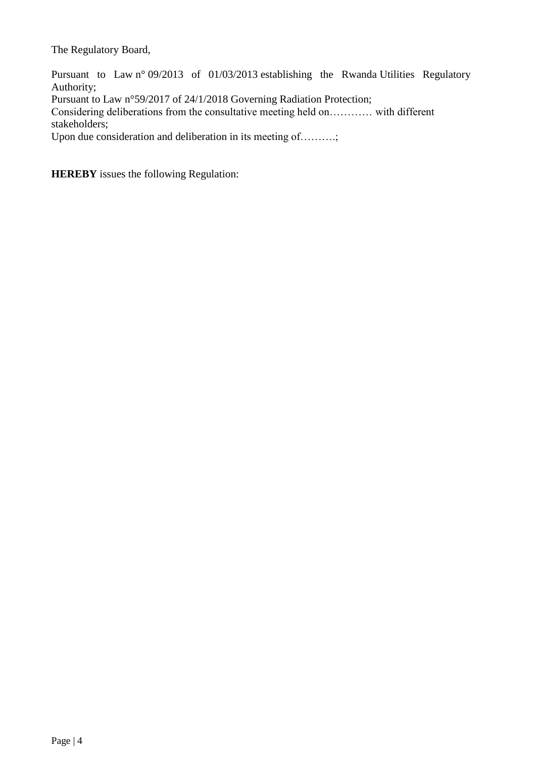The Regulatory Board,

Pursuant to Law n° 09/2013 of 01/03/2013 establishing the Rwanda Utilities Regulatory Authority;

Pursuant to Law n°59/2017 of 24/1/2018 Governing Radiation Protection;

Considering deliberations from the consultative meeting held on………… with different stakeholders;

Upon due consideration and deliberation in its meeting of……….;

**HEREBY** issues the following Regulation: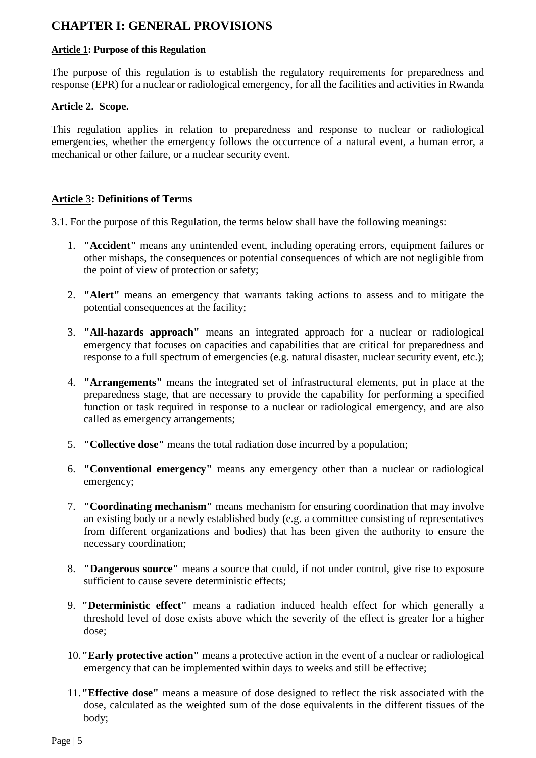## <span id="page-4-0"></span>**CHAPTER I: GENERAL PROVISIONS**

#### **Article 1: Purpose of this Regulation**

The purpose of this regulation is to establish the regulatory requirements for preparedness and response (EPR) for a nuclear or radiological emergency, for all the facilities and activities in Rwanda

#### <span id="page-4-1"></span>**Article 2. Scope.**

This regulation applies in relation to preparedness and response to nuclear or radiological emergencies, whether the emergency follows the occurrence of a natural event, a human error, a mechanical or other failure, or a nuclear security event.

### <span id="page-4-2"></span>**Article** 3**: Definitions of Terms**

3.1. For the purpose of this Regulation, the terms below shall have the following meanings:

- 1. **"Accident"** means any unintended event, including operating errors, equipment failures or other mishaps, the consequences or potential consequences of which are not negligible from the point of view of protection or safety;
- 2. **"Alert"** means an emergency that warrants taking actions to assess and to mitigate the potential consequences at the facility;
- 3. **"All-hazards approach"** means an integrated approach for a nuclear or radiological emergency that focuses on capacities and capabilities that are critical for preparedness and response to a full spectrum of emergencies (e.g. natural disaster, nuclear security event, etc.);
- 4. **"Arrangements"** means the integrated set of infrastructural elements, put in place at the preparedness stage, that are necessary to provide the capability for performing a specified function or task required in response to a nuclear or radiological emergency, and are also called as emergency arrangements;
- 5. **"Collective dose"** means the total radiation dose incurred by a population;
- 6. **"Conventional emergency"** means any emergency other than a nuclear or radiological emergency;
- 7. **"Coordinating mechanism"** means mechanism for ensuring coordination that may involve an existing body or a newly established body (e.g. a committee consisting of representatives from different organizations and bodies) that has been given the authority to ensure the necessary coordination;
- 8. **"Dangerous source"** means a source that could, if not under control, give rise to exposure sufficient to cause severe deterministic effects;
- 9. **"Deterministic effect"** means a radiation induced health effect for which generally a threshold level of dose exists above which the severity of the effect is greater for a higher dose;
- 10.**"Early protective action"** means a protective action in the event of a nuclear or radiological emergency that can be implemented within days to weeks and still be effective;
- 11.**"Effective dose"** means a measure of dose designed to reflect the risk associated with the dose, calculated as the weighted sum of the dose equivalents in the different tissues of the body;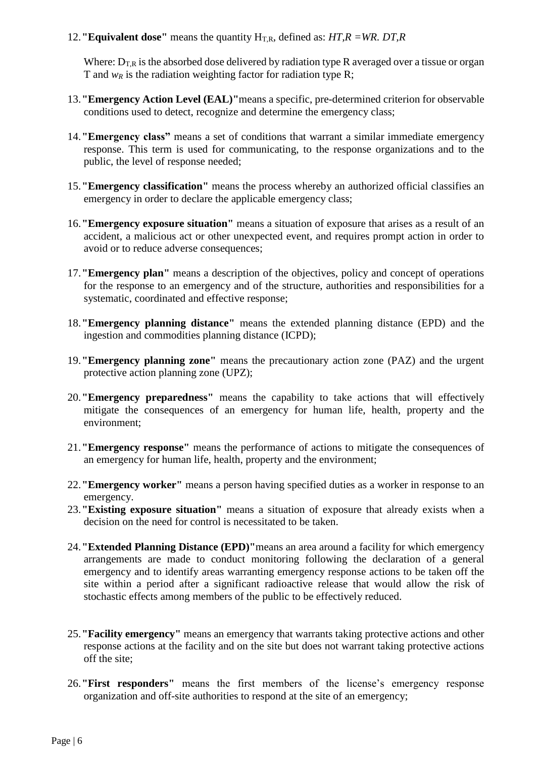#### 12.**"Equivalent dose"** means the quantity HT,R, defined as: *HT,R =WR. DT,R*

Where:  $D_{TR}$  is the absorbed dose delivered by radiation type R averaged over a tissue or organ T and  $w_R$  is the radiation weighting factor for radiation type R;

- 13.**"Emergency Action Level (EAL)"**means a specific, pre-determined criterion for observable conditions used to detect, recognize and determine the emergency class;
- 14.**"Emergency class"** means a set of conditions that warrant a similar immediate emergency response. This term is used for communicating, to the response organizations and to the public, the level of response needed;
- 15.**"Emergency classification"** means the process whereby an authorized official classifies an emergency in order to declare the applicable emergency class;
- 16.**"Emergency exposure situation"** means a situation of exposure that arises as a result of an accident, a malicious act or other unexpected event, and requires prompt action in order to avoid or to reduce adverse consequences;
- 17.**"Emergency plan"** means a description of the objectives, policy and concept of operations for the response to an emergency and of the structure, authorities and responsibilities for a systematic, coordinated and effective response;
- 18.**"Emergency planning distance"** means the extended planning distance (EPD) and the ingestion and commodities planning distance (ICPD);
- 19.**"Emergency planning zone"** means the precautionary action zone (PAZ) and the urgent protective action planning zone (UPZ);
- 20.**"Emergency preparedness"** means the capability to take actions that will effectively mitigate the consequences of an emergency for human life, health, property and the environment;
- 21.**"Emergency response"** means the performance of actions to mitigate the consequences of an emergency for human life, health, property and the environment;
- 22.**"Emergency worker"** means a person having specified duties as a worker in response to an emergency.
- 23.**"Existing exposure situation"** means a situation of exposure that already exists when a decision on the need for control is necessitated to be taken.
- 24.**"Extended Planning Distance (EPD)"**means an area around a facility for which emergency arrangements are made to conduct monitoring following the declaration of a general emergency and to identify areas warranting emergency response actions to be taken off the site within a period after a significant radioactive release that would allow the risk of stochastic effects among members of the public to be effectively reduced.
- 25.**"Facility emergency"** means an emergency that warrants taking protective actions and other response actions at the facility and on the site but does not warrant taking protective actions off the site;
- 26.**"First responders"** means the first members of the license's emergency response organization and off-site authorities to respond at the site of an emergency;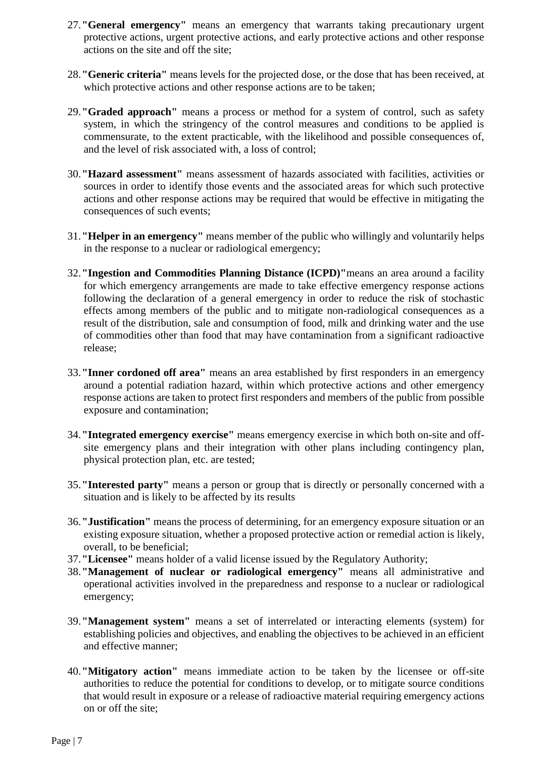- 27.**"General emergency"** means an emergency that warrants taking precautionary urgent protective actions, urgent protective actions, and early protective actions and other response actions on the site and off the site;
- 28.**"Generic criteria"** means levels for the projected dose, or the dose that has been received, at which protective actions and other response actions are to be taken;
- 29.**"Graded approach"** means a process or method for a system of control, such as safety system, in which the stringency of the control measures and conditions to be applied is commensurate, to the extent practicable, with the likelihood and possible consequences of, and the level of risk associated with, a loss of control;
- 30.**"Hazard assessment"** means assessment of hazards associated with facilities, activities or sources in order to identify those events and the associated areas for which such protective actions and other response actions may be required that would be effective in mitigating the consequences of such events;
- 31.**"Helper in an emergency"** means member of the public who willingly and voluntarily helps in the response to a nuclear or radiological emergency;
- 32.**"Ingestion and Commodities Planning Distance (ICPD)"**means an area around a facility for which emergency arrangements are made to take effective emergency response actions following the declaration of a general emergency in order to reduce the risk of stochastic effects among members of the public and to mitigate non-radiological consequences as a result of the distribution, sale and consumption of food, milk and drinking water and the use of commodities other than food that may have contamination from a significant radioactive release;
- 33.**"Inner cordoned off area"** means an area established by first responders in an emergency around a potential radiation hazard, within which protective actions and other emergency response actions are taken to protect first responders and members of the public from possible exposure and contamination;
- 34.**"Integrated emergency exercise"** means emergency exercise in which both on-site and offsite emergency plans and their integration with other plans including contingency plan, physical protection plan, etc. are tested;
- 35.**"Interested party"** means a person or group that is directly or personally [concerned](https://www.ldoceonline.com/dictionary/concern) with a situation and is [likely](https://www.ldoceonline.com/dictionary/likely) to be [affected](https://www.ldoceonline.com/dictionary/affect) by its results
- 36.**"Justification"** means the process of determining, for an emergency exposure situation or an existing exposure situation, whether a proposed protective action or remedial action is likely, overall, to be beneficial;
- 37.**"Licensee"** means holder of a valid license issued by the Regulatory Authority;
- 38.**"Management of nuclear or radiological emergency"** means all administrative and operational activities involved in the preparedness and response to a nuclear or radiological emergency;
- 39.**"Management system"** means a set of interrelated or interacting elements (system) for establishing policies and objectives, and enabling the objectives to be achieved in an efficient and effective manner;
- 40.**"Mitigatory action"** means immediate action to be taken by the licensee or off-site authorities to reduce the potential for conditions to develop, or to mitigate source conditions that would result in exposure or a release of radioactive material requiring emergency actions on or off the site;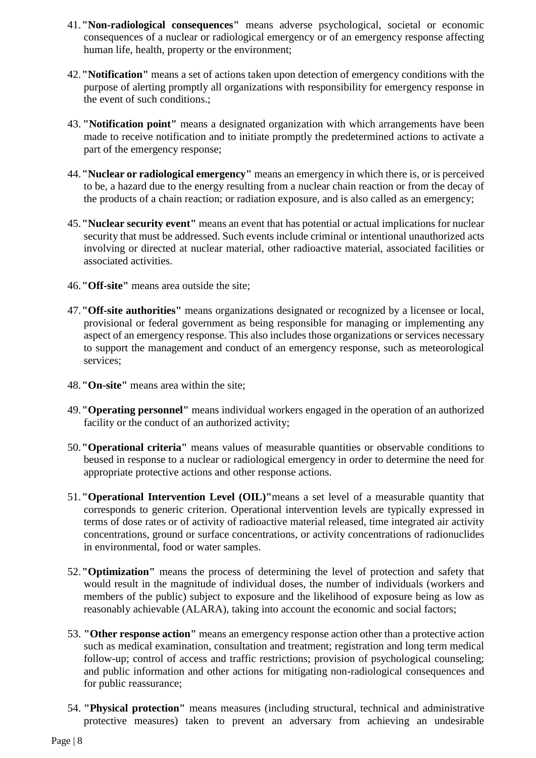- 41.**"Non-radiological consequences"** means adverse psychological, societal or economic consequences of a nuclear or radiological emergency or of an emergency response affecting human life, health, property or the environment;
- 42.**"Notification"** means a set of actions taken upon detection of emergency conditions with the purpose of alerting promptly all organizations with responsibility for emergency response in the event of such conditions.;
- 43. **"Notification point"** means a designated organization with which arrangements have been made to receive notification and to initiate promptly the predetermined actions to activate a part of the emergency response;
- 44.**"Nuclear or radiological emergency"** means an emergency in which there is, or is perceived to be, a hazard due to the energy resulting from a nuclear chain reaction or from the decay of the products of a chain reaction; or radiation exposure, and is also called as an emergency;
- 45.**"Nuclear security event"** means an event that has potential or actual implications for nuclear security that must be addressed. Such events include criminal or intentional unauthorized acts involving or directed at nuclear material, other radioactive material, associated facilities or associated activities.
- 46.**"Off-site"** means area outside the site;
- 47.**"Off-site authorities"** means organizations designated or recognized by a licensee or local, provisional or federal government as being responsible for managing or implementing any aspect of an emergency response. This also includes those organizations or services necessary to support the management and conduct of an emergency response, such as meteorological services;
- 48.**"On-site"** means area within the site;
- 49.**"Operating personnel"** means individual workers engaged in the operation of an authorized facility or the conduct of an authorized activity;
- 50.**"Operational criteria"** means values of measurable quantities or observable conditions to beused in response to a nuclear or radiological emergency in order to determine the need for appropriate protective actions and other response actions.
- 51.**"Operational Intervention Level (OIL)"**means a set level of a measurable quantity that corresponds to generic criterion. Operational intervention levels are typically expressed in terms of dose rates or of activity of radioactive material released, time integrated air activity concentrations, ground or surface concentrations, or activity concentrations of radionuclides in environmental, food or water samples.
- 52.**"Optimization"** means the process of determining the level of protection and safety that would result in the magnitude of individual doses, the number of individuals (workers and members of the public) subject to exposure and the likelihood of exposure being as low as reasonably achievable (ALARA), taking into account the economic and social factors;
- 53. **"Other response action"** means an emergency response action other than a protective action such as medical examination, consultation and treatment; registration and long term medical follow-up; control of access and traffic restrictions; provision of psychological counseling; and public information and other actions for mitigating non-radiological consequences and for public reassurance;
- 54. **"Physical protection"** means measures (including structural, technical and administrative protective measures) taken to prevent an adversary from achieving an undesirable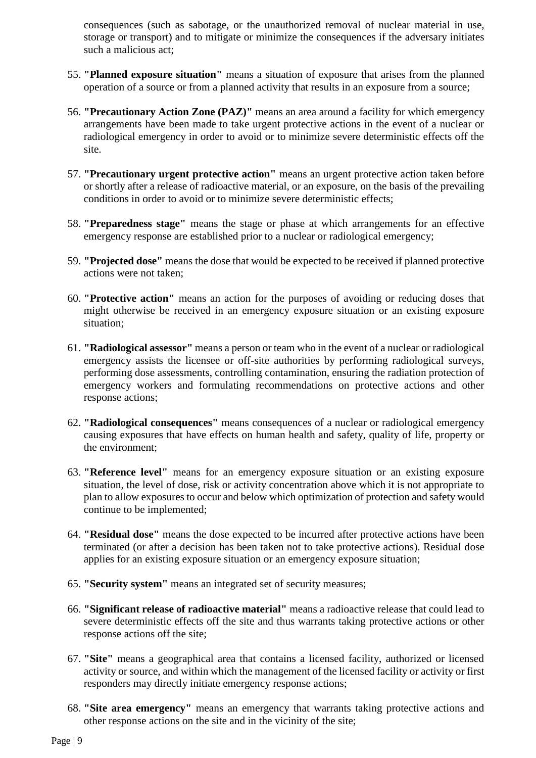consequences (such as sabotage, or the unauthorized removal of nuclear material in use, storage or transport) and to mitigate or minimize the consequences if the adversary initiates such a malicious act;

- 55. **"Planned exposure situation"** means a situation of exposure that arises from the planned operation of a source or from a planned activity that results in an exposure from a source;
- 56. **"Precautionary Action Zone (PAZ)"** means an area around a facility for which emergency arrangements have been made to take urgent protective actions in the event of a nuclear or radiological emergency in order to avoid or to minimize severe deterministic effects off the site.
- 57. **"Precautionary urgent protective action"** means an urgent protective action taken before or shortly after a release of radioactive material, or an exposure, on the basis of the prevailing conditions in order to avoid or to minimize severe deterministic effects;
- 58. **"Preparedness stage"** means the stage or phase at which arrangements for an effective emergency response are established prior to a nuclear or radiological emergency;
- 59. **"Projected dose"** means the dose that would be expected to be received if planned protective actions were not taken;
- 60. **"Protective action"** means an action for the purposes of avoiding or reducing doses that might otherwise be received in an emergency exposure situation or an existing exposure situation;
- 61. **"Radiological assessor"** means a person or team who in the event of a nuclear or radiological emergency assists the licensee or off-site authorities by performing radiological surveys, performing dose assessments, controlling contamination, ensuring the radiation protection of emergency workers and formulating recommendations on protective actions and other response actions;
- 62. **"Radiological consequences"** means consequences of a nuclear or radiological emergency causing exposures that have effects on human health and safety, quality of life, property or the environment;
- 63. **"Reference level"** means for an emergency exposure situation or an existing exposure situation, the level of dose, risk or activity concentration above which it is not appropriate to plan to allow exposures to occur and below which optimization of protection and safety would continue to be implemented;
- 64. **"Residual dose"** means the dose expected to be incurred after protective actions have been terminated (or after a decision has been taken not to take protective actions). Residual dose applies for an existing exposure situation or an emergency exposure situation;
- 65. **"Security system"** means an integrated set of security measures;
- 66. **"Significant release of radioactive material"** means a radioactive release that could lead to severe deterministic effects off the site and thus warrants taking protective actions or other response actions off the site;
- 67. **"Site"** means a geographical area that contains a licensed facility, authorized or licensed activity or source, and within which the management of the licensed facility or activity or first responders may directly initiate emergency response actions;
- 68. **"Site area emergency"** means an emergency that warrants taking protective actions and other response actions on the site and in the vicinity of the site;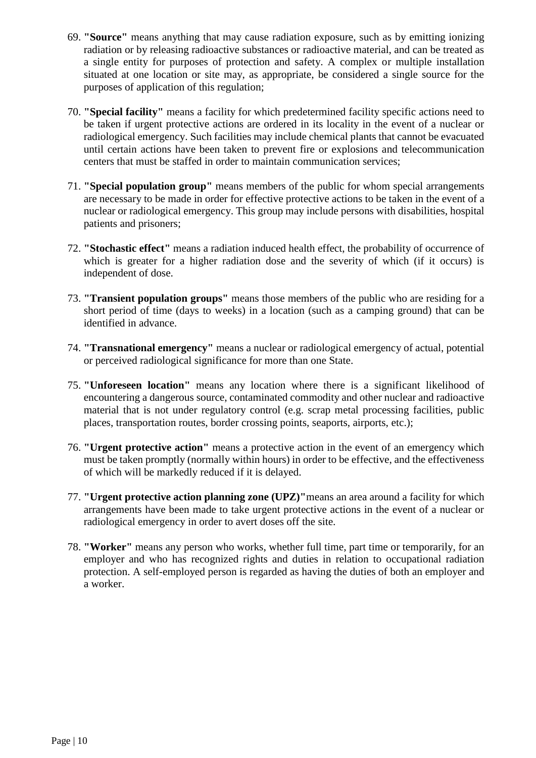- 69. **"Source"** means anything that may cause radiation exposure, such as by emitting ionizing radiation or by releasing radioactive substances or radioactive material, and can be treated as a single entity for purposes of protection and safety. A complex or multiple installation situated at one location or site may, as appropriate, be considered a single source for the purposes of application of this regulation;
- 70. **"Special facility"** means a facility for which predetermined facility specific actions need to be taken if urgent protective actions are ordered in its locality in the event of a nuclear or radiological emergency. Such facilities may include chemical plants that cannot be evacuated until certain actions have been taken to prevent fire or explosions and telecommunication centers that must be staffed in order to maintain communication services;
- 71. **"Special population group"** means members of the public for whom special arrangements are necessary to be made in order for effective protective actions to be taken in the event of a nuclear or radiological emergency. This group may include persons with disabilities, hospital patients and prisoners;
- 72. **"Stochastic effect"** means a radiation induced health effect, the probability of occurrence of which is greater for a higher radiation dose and the severity of which (if it occurs) is independent of dose.
- 73. **"Transient population groups"** means those members of the public who are residing for a short period of time (days to weeks) in a location (such as a camping ground) that can be identified in advance.
- 74. **"Transnational emergency"** means a nuclear or radiological emergency of actual, potential or perceived radiological significance for more than one State.
- 75. **"Unforeseen location"** means any location where there is a significant likelihood of encountering a dangerous source, contaminated commodity and other nuclear and radioactive material that is not under regulatory control (e.g. scrap metal processing facilities, public places, transportation routes, border crossing points, seaports, airports, etc.);
- 76. **"Urgent protective action"** means a protective action in the event of an emergency which must be taken promptly (normally within hours) in order to be effective, and the effectiveness of which will be markedly reduced if it is delayed.
- 77. **"Urgent protective action planning zone (UPZ)"**means an area around a facility for which arrangements have been made to take urgent protective actions in the event of a nuclear or radiological emergency in order to avert doses off the site.
- 78. **"Worker"** means any person who works, whether full time, part time or temporarily, for an employer and who has recognized rights and duties in relation to occupational radiation protection. A self-employed person is regarded as having the duties of both an employer and a worker.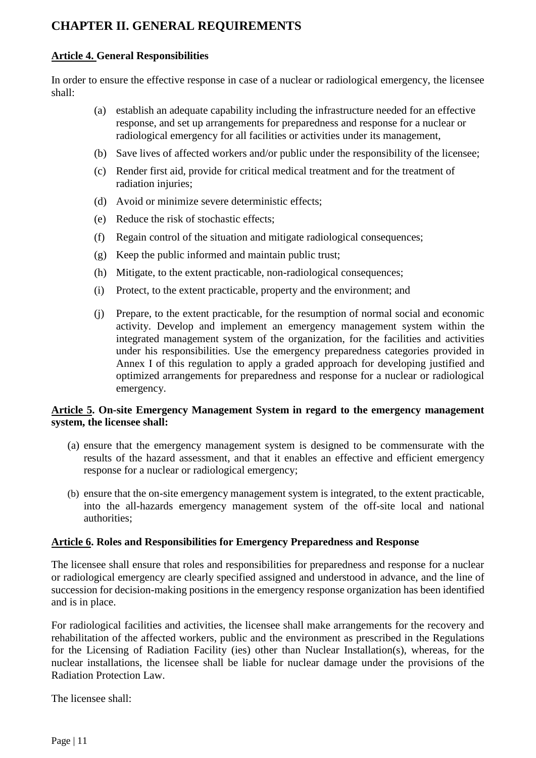## <span id="page-10-0"></span>**CHAPTER II. GENERAL REQUIREMENTS**

### <span id="page-10-1"></span>**Article 4. General Responsibilities**

In order to ensure the effective response in case of a nuclear or radiological emergency, the licensee shall:

- (a) establish an adequate capability including the infrastructure needed for an effective response, and set up arrangements for preparedness and response for a nuclear or radiological emergency for all facilities or activities under its management,
- (b) Save lives of affected workers and/or public under the responsibility of the licensee;
- (c) Render first aid, provide for critical medical treatment and for the treatment of radiation injuries;
- (d) Avoid or minimize severe deterministic effects;
- (e) Reduce the risk of stochastic effects;
- (f) Regain control of the situation and mitigate radiological consequences;
- (g) Keep the public informed and maintain public trust;
- (h) Mitigate, to the extent practicable, non-radiological consequences;
- (i) Protect, to the extent practicable, property and the environment; and
- (j) Prepare, to the extent practicable, for the resumption of normal social and economic activity. Develop and implement an emergency management system within the integrated management system of the organization, for the facilities and activities under his responsibilities. Use the emergency preparedness categories provided in Annex I of this regulation to apply a graded approach for developing justified and optimized arrangements for preparedness and response for a nuclear or radiological emergency.

#### <span id="page-10-2"></span>**Article 5. On-site Emergency Management System in regard to the emergency management system, the licensee shall:**

- (a) ensure that the emergency management system is designed to be commensurate with the results of the hazard assessment, and that it enables an effective and efficient emergency response for a nuclear or radiological emergency;
- (b) ensure that the on-site emergency management system is integrated, to the extent practicable, into the all-hazards emergency management system of the off-site local and national authorities;

### <span id="page-10-3"></span>**Article 6. Roles and Responsibilities for Emergency Preparedness and Response**

The licensee shall ensure that roles and responsibilities for preparedness and response for a nuclear or radiological emergency are clearly specified assigned and understood in advance, and the line of succession for decision-making positions in the emergency response organization has been identified and is in place.

For radiological facilities and activities, the licensee shall make arrangements for the recovery and rehabilitation of the affected workers, public and the environment as prescribed in the Regulations for the Licensing of Radiation Facility (ies) other than Nuclear Installation(s), whereas, for the nuclear installations, the licensee shall be liable for nuclear damage under the provisions of the Radiation Protection Law.

The licensee shall: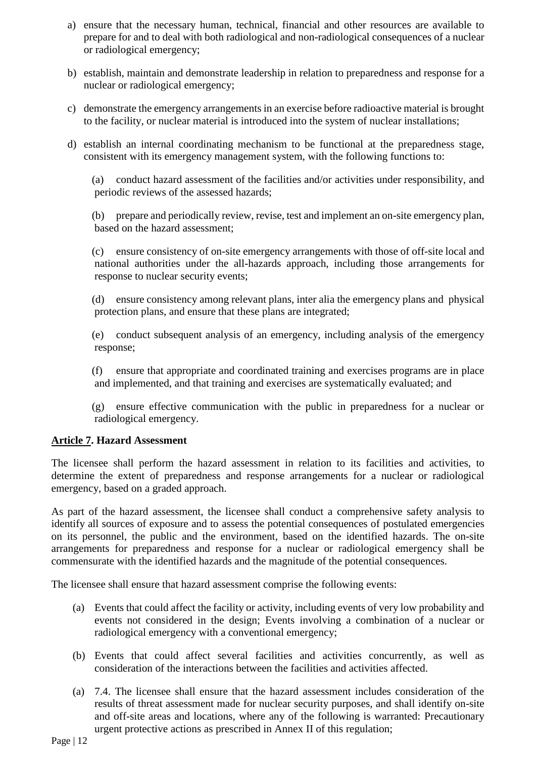- a) ensure that the necessary human, technical, financial and other resources are available to prepare for and to deal with both radiological and non-radiological consequences of a nuclear or radiological emergency;
- b) establish, maintain and demonstrate leadership in relation to preparedness and response for a nuclear or radiological emergency;
- c) demonstrate the emergency arrangements in an exercise before radioactive material is brought to the facility, or nuclear material is introduced into the system of nuclear installations;
- d) establish an internal coordinating mechanism to be functional at the preparedness stage, consistent with its emergency management system, with the following functions to:

(a) conduct hazard assessment of the facilities and/or activities under responsibility, and periodic reviews of the assessed hazards;

(b) prepare and periodically review, revise, test and implement an on-site emergency plan, based on the hazard assessment;

(c) ensure consistency of on-site emergency arrangements with those of off-site local and national authorities under the all-hazards approach, including those arrangements for response to nuclear security events;

(d) ensure consistency among relevant plans, inter alia the emergency plans and physical protection plans, and ensure that these plans are integrated;

(e) conduct subsequent analysis of an emergency, including analysis of the emergency response;

(f) ensure that appropriate and coordinated training and exercises programs are in place and implemented, and that training and exercises are systematically evaluated; and

(g) ensure effective communication with the public in preparedness for a nuclear or radiological emergency.

### <span id="page-11-0"></span>**Article 7. Hazard Assessment**

The licensee shall perform the hazard assessment in relation to its facilities and activities, to determine the extent of preparedness and response arrangements for a nuclear or radiological emergency, based on a graded approach.

As part of the hazard assessment, the licensee shall conduct a comprehensive safety analysis to identify all sources of exposure and to assess the potential consequences of postulated emergencies on its personnel, the public and the environment, based on the identified hazards. The on-site arrangements for preparedness and response for a nuclear or radiological emergency shall be commensurate with the identified hazards and the magnitude of the potential consequences.

The licensee shall ensure that hazard assessment comprise the following events:

- (a) Events that could affect the facility or activity, including events of very low probability and events not considered in the design; Events involving a combination of a nuclear or radiological emergency with a conventional emergency;
- (b) Events that could affect several facilities and activities concurrently, as well as consideration of the interactions between the facilities and activities affected.
- (a) 7.4. The licensee shall ensure that the hazard assessment includes consideration of the results of threat assessment made for nuclear security purposes, and shall identify on-site and off-site areas and locations, where any of the following is warranted: Precautionary urgent protective actions as prescribed in Annex II of this regulation;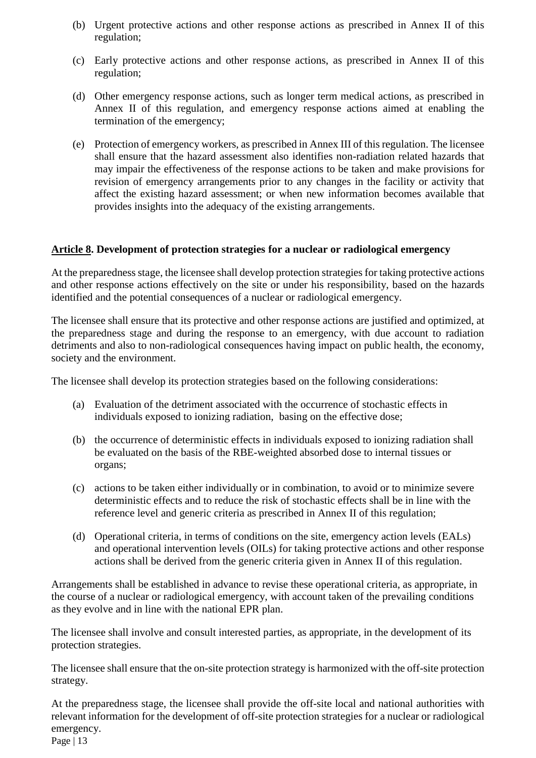- (b) Urgent protective actions and other response actions as prescribed in Annex II of this regulation;
- (c) Early protective actions and other response actions, as prescribed in Annex II of this regulation;
- (d) Other emergency response actions, such as longer term medical actions, as prescribed in Annex II of this regulation, and emergency response actions aimed at enabling the termination of the emergency;
- (e) Protection of emergency workers, as prescribed in Annex III of this regulation. The licensee shall ensure that the hazard assessment also identifies non-radiation related hazards that may impair the effectiveness of the response actions to be taken and make provisions for revision of emergency arrangements prior to any changes in the facility or activity that affect the existing hazard assessment; or when new information becomes available that provides insights into the adequacy of the existing arrangements.

#### <span id="page-12-0"></span>**Article 8. Development of protection strategies for a nuclear or radiological emergency**

At the preparedness stage, the licensee shall develop protection strategiesfor taking protective actions and other response actions effectively on the site or under his responsibility, based on the hazards identified and the potential consequences of a nuclear or radiological emergency.

The licensee shall ensure that its protective and other response actions are justified and optimized, at the preparedness stage and during the response to an emergency, with due account to radiation detriments and also to non-radiological consequences having impact on public health, the economy, society and the environment.

The licensee shall develop its protection strategies based on the following considerations:

- (a) Evaluation of the detriment associated with the occurrence of stochastic effects in individuals exposed to ionizing radiation, basing on the effective dose;
- (b) the occurrence of deterministic effects in individuals exposed to ionizing radiation shall be evaluated on the basis of the RBE-weighted absorbed dose to internal tissues or organs;
- (c) actions to be taken either individually or in combination, to avoid or to minimize severe deterministic effects and to reduce the risk of stochastic effects shall be in line with the reference level and generic criteria as prescribed in Annex II of this regulation;
- (d) Operational criteria, in terms of conditions on the site, emergency action levels (EALs) and operational intervention levels (OILs) for taking protective actions and other response actions shall be derived from the generic criteria given in Annex II of this regulation.

Arrangements shall be established in advance to revise these operational criteria, as appropriate, in the course of a nuclear or radiological emergency, with account taken of the prevailing conditions as they evolve and in line with the national EPR plan.

The licensee shall involve and consult interested parties, as appropriate, in the development of its protection strategies.

The licensee shall ensure that the on-site protection strategy is harmonized with the off-site protection strategy.

At the preparedness stage, the licensee shall provide the off-site local and national authorities with relevant information for the development of off-site protection strategies for a nuclear or radiological emergency.

Page | 13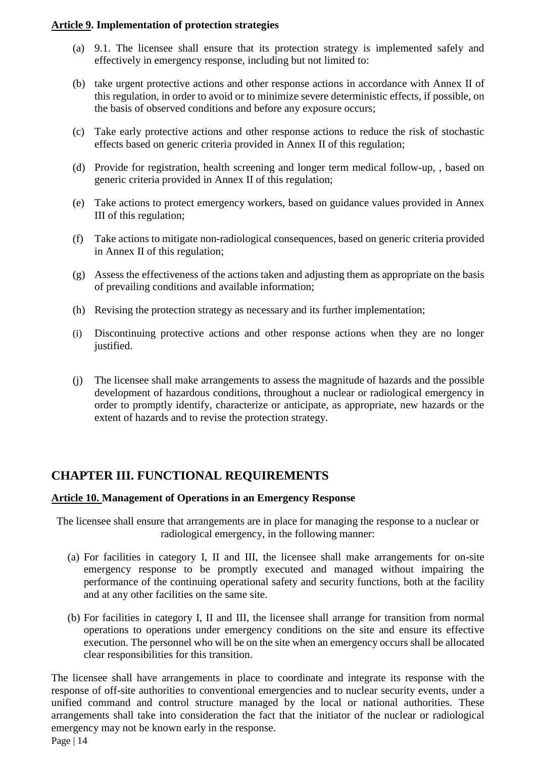#### <span id="page-13-0"></span>**Article 9. Implementation of protection strategies**

- (a) 9.1. The licensee shall ensure that its protection strategy is implemented safely and effectively in emergency response, including but not limited to:
- (b) take urgent protective actions and other response actions in accordance with Annex II of this regulation, in order to avoid or to minimize severe deterministic effects, if possible, on the basis of observed conditions and before any exposure occurs;
- (c) Take early protective actions and other response actions to reduce the risk of stochastic effects based on generic criteria provided in Annex II of this regulation;
- (d) Provide for registration, health screening and longer term medical follow-up, , based on generic criteria provided in Annex II of this regulation;
- (e) Take actions to protect emergency workers, based on guidance values provided in Annex III of this regulation;
- (f) Take actions to mitigate non-radiological consequences, based on generic criteria provided in Annex II of this regulation;
- (g) Assess the effectiveness of the actions taken and adjusting them as appropriate on the basis of prevailing conditions and available information;
- (h) Revising the protection strategy as necessary and its further implementation;
- (i) Discontinuing protective actions and other response actions when they are no longer justified.
- (j) The licensee shall make arrangements to assess the magnitude of hazards and the possible development of hazardous conditions, throughout a nuclear or radiological emergency in order to promptly identify, characterize or anticipate, as appropriate, new hazards or the extent of hazards and to revise the protection strategy.

### <span id="page-13-1"></span>**CHAPTER III. FUNCTIONAL REQUIREMENTS**

#### <span id="page-13-2"></span>**Article 10. Management of Operations in an Emergency Response**

The licensee shall ensure that arrangements are in place for managing the response to a nuclear or radiological emergency, in the following manner:

- (a) For facilities in category I, II and III, the licensee shall make arrangements for on-site emergency response to be promptly executed and managed without impairing the performance of the continuing operational safety and security functions, both at the facility and at any other facilities on the same site.
- (b) For facilities in category I, II and III, the licensee shall arrange for transition from normal operations to operations under emergency conditions on the site and ensure its effective execution. The personnel who will be on the site when an emergency occurs shall be allocated clear responsibilities for this transition.

Page | 14 The licensee shall have arrangements in place to coordinate and integrate its response with the response of off-site authorities to conventional emergencies and to nuclear security events, under a unified command and control structure managed by the local or national authorities. These arrangements shall take into consideration the fact that the initiator of the nuclear or radiological emergency may not be known early in the response.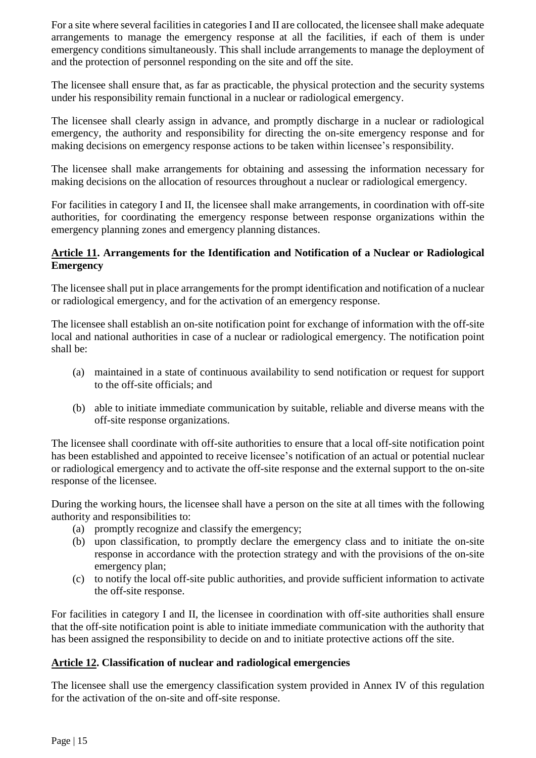For a site where several facilities in categories I and II are collocated, the licensee shall make adequate arrangements to manage the emergency response at all the facilities, if each of them is under emergency conditions simultaneously. This shall include arrangements to manage the deployment of and the protection of personnel responding on the site and off the site.

The licensee shall ensure that, as far as practicable, the physical protection and the security systems under his responsibility remain functional in a nuclear or radiological emergency.

The licensee shall clearly assign in advance, and promptly discharge in a nuclear or radiological emergency, the authority and responsibility for directing the on-site emergency response and for making decisions on emergency response actions to be taken within licensee's responsibility.

The licensee shall make arrangements for obtaining and assessing the information necessary for making decisions on the allocation of resources throughout a nuclear or radiological emergency.

For facilities in category I and II, the licensee shall make arrangements, in coordination with off-site authorities, for coordinating the emergency response between response organizations within the emergency planning zones and emergency planning distances.

### <span id="page-14-0"></span>**Article 11. Arrangements for the Identification and Notification of a Nuclear or Radiological Emergency**

The licensee shall put in place arrangements for the prompt identification and notification of a nuclear or radiological emergency, and for the activation of an emergency response.

The licensee shall establish an on-site notification point for exchange of information with the off-site local and national authorities in case of a nuclear or radiological emergency. The notification point shall be:

- (a) maintained in a state of continuous availability to send notification or request for support to the off-site officials; and
- (b) able to initiate immediate communication by suitable, reliable and diverse means with the off-site response organizations.

The licensee shall coordinate with off-site authorities to ensure that a local off-site notification point has been established and appointed to receive licensee's notification of an actual or potential nuclear or radiological emergency and to activate the off-site response and the external support to the on-site response of the licensee.

During the working hours, the licensee shall have a person on the site at all times with the following authority and responsibilities to:

- (a) promptly recognize and classify the emergency;
- (b) upon classification, to promptly declare the emergency class and to initiate the on-site response in accordance with the protection strategy and with the provisions of the on-site emergency plan;
- (c) to notify the local off-site public authorities, and provide sufficient information to activate the off-site response.

For facilities in category I and II, the licensee in coordination with off-site authorities shall ensure that the off-site notification point is able to initiate immediate communication with the authority that has been assigned the responsibility to decide on and to initiate protective actions off the site.

### <span id="page-14-1"></span>**Article 12. Classification of nuclear and radiological emergencies**

The licensee shall use the emergency classification system provided in Annex IV of this regulation for the activation of the on-site and off-site response.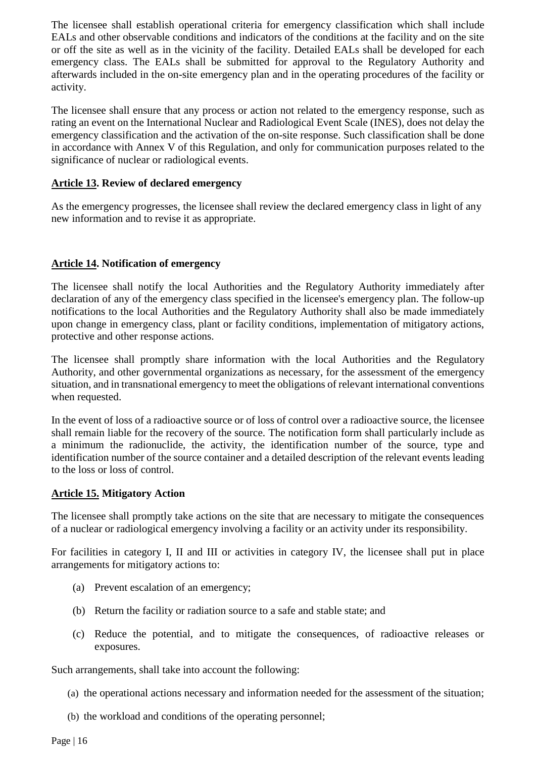The licensee shall establish operational criteria for emergency classification which shall include EALs and other observable conditions and indicators of the conditions at the facility and on the site or off the site as well as in the vicinity of the facility. Detailed EALs shall be developed for each emergency class. The EALs shall be submitted for approval to the Regulatory Authority and afterwards included in the on-site emergency plan and in the operating procedures of the facility or activity.

The licensee shall ensure that any process or action not related to the emergency response, such as rating an event on the International Nuclear and Radiological Event Scale (INES), does not delay the emergency classification and the activation of the on-site response. Such classification shall be done in accordance with Annex V of this Regulation, and only for communication purposes related to the significance of nuclear or radiological events.

#### <span id="page-15-0"></span>**Article 13. Review of declared emergency**

As the emergency progresses, the licensee shall review the declared emergency class in light of any new information and to revise it as appropriate.

#### <span id="page-15-1"></span>**Article 14. Notification of emergency**

The licensee shall notify the local Authorities and the Regulatory Authority immediately after declaration of any of the emergency class specified in the licensee's emergency plan. The follow-up notifications to the local Authorities and the Regulatory Authority shall also be made immediately upon change in emergency class, plant or facility conditions, implementation of mitigatory actions, protective and other response actions.

The licensee shall promptly share information with the local Authorities and the Regulatory Authority, and other governmental organizations as necessary, for the assessment of the emergency situation, and in transnational emergency to meet the obligations of relevant international conventions when requested.

In the event of loss of a radioactive source or of loss of control over a radioactive source, the licensee shall remain liable for the recovery of the source. The notification form shall particularly include as a minimum the radionuclide, the activity, the identification number of the source, type and identification number of the source container and a detailed description of the relevant events leading to the loss or loss of control.

#### <span id="page-15-2"></span>**Article 15. Mitigatory Action**

The licensee shall promptly take actions on the site that are necessary to mitigate the consequences of a nuclear or radiological emergency involving a facility or an activity under its responsibility.

For facilities in category I, II and III or activities in category IV, the licensee shall put in place arrangements for mitigatory actions to:

- (a) Prevent escalation of an emergency;
- (b) Return the facility or radiation source to a safe and stable state; and
- (c) Reduce the potential, and to mitigate the consequences, of radioactive releases or exposures.

Such arrangements, shall take into account the following:

- (a) the operational actions necessary and information needed for the assessment of the situation;
- (b) the workload and conditions of the operating personnel;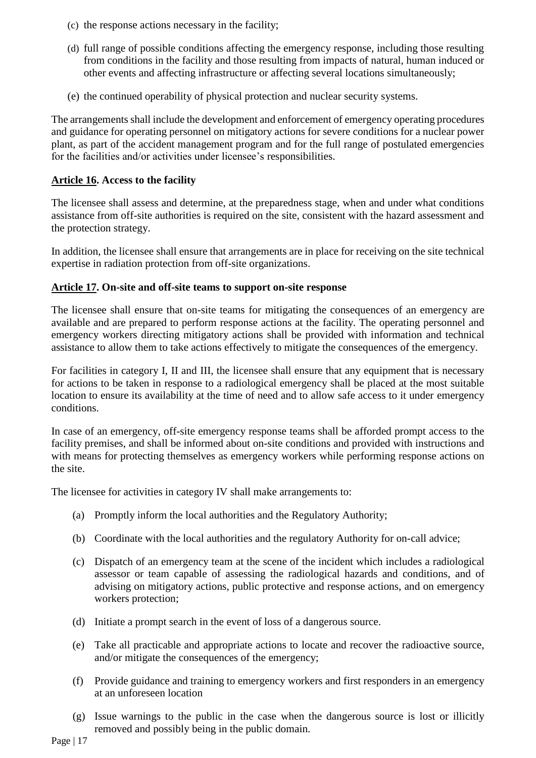- (c) the response actions necessary in the facility;
- (d) full range of possible conditions affecting the emergency response, including those resulting from conditions in the facility and those resulting from impacts of natural, human induced or other events and affecting infrastructure or affecting several locations simultaneously;
- (e) the continued operability of physical protection and nuclear security systems.

The arrangements shall include the development and enforcement of emergency operating procedures and guidance for operating personnel on mitigatory actions for severe conditions for a nuclear power plant, as part of the accident management program and for the full range of postulated emergencies for the facilities and/or activities under licensee's responsibilities.

#### <span id="page-16-0"></span>**Article 16. Access to the facility**

The licensee shall assess and determine, at the preparedness stage, when and under what conditions assistance from off-site authorities is required on the site, consistent with the hazard assessment and the protection strategy.

In addition, the licensee shall ensure that arrangements are in place for receiving on the site technical expertise in radiation protection from off-site organizations.

#### <span id="page-16-1"></span>**Article 17. On-site and off-site teams to support on-site response**

The licensee shall ensure that on-site teams for mitigating the consequences of an emergency are available and are prepared to perform response actions at the facility. The operating personnel and emergency workers directing mitigatory actions shall be provided with information and technical assistance to allow them to take actions effectively to mitigate the consequences of the emergency.

For facilities in category I, II and III, the licensee shall ensure that any equipment that is necessary for actions to be taken in response to a radiological emergency shall be placed at the most suitable location to ensure its availability at the time of need and to allow safe access to it under emergency conditions.

In case of an emergency, off-site emergency response teams shall be afforded prompt access to the facility premises, and shall be informed about on-site conditions and provided with instructions and with means for protecting themselves as emergency workers while performing response actions on the site.

The licensee for activities in category IV shall make arrangements to:

- (a) Promptly inform the local authorities and the Regulatory Authority;
- (b) Coordinate with the local authorities and the regulatory Authority for on-call advice;
- (c) Dispatch of an emergency team at the scene of the incident which includes a radiological assessor or team capable of assessing the radiological hazards and conditions, and of advising on mitigatory actions, public protective and response actions, and on emergency workers protection;
- (d) Initiate a prompt search in the event of loss of a dangerous source.
- (e) Take all practicable and appropriate actions to locate and recover the radioactive source, and/or mitigate the consequences of the emergency;
- (f) Provide guidance and training to emergency workers and first responders in an emergency at an unforeseen location
- (g) Issue warnings to the public in the case when the dangerous source is lost or illicitly removed and possibly being in the public domain.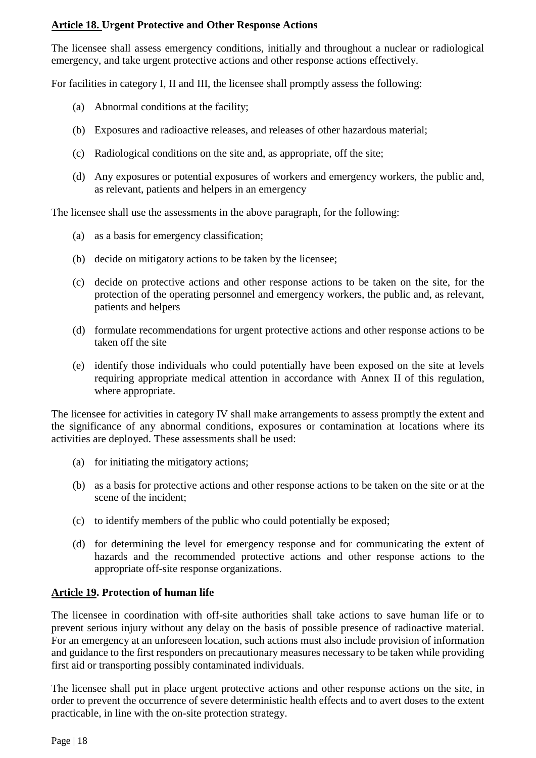### <span id="page-17-0"></span>**Article 18. Urgent Protective and Other Response Actions**

The licensee shall assess emergency conditions, initially and throughout a nuclear or radiological emergency, and take urgent protective actions and other response actions effectively.

For facilities in category I, II and III, the licensee shall promptly assess the following:

- (a) Abnormal conditions at the facility;
- (b) Exposures and radioactive releases, and releases of other hazardous material;
- (c) Radiological conditions on the site and, as appropriate, off the site;
- (d) Any exposures or potential exposures of workers and emergency workers, the public and, as relevant, patients and helpers in an emergency

The licensee shall use the assessments in the above paragraph, for the following:

- (a) as a basis for emergency classification;
- (b) decide on mitigatory actions to be taken by the licensee;
- (c) decide on protective actions and other response actions to be taken on the site, for the protection of the operating personnel and emergency workers, the public and, as relevant, patients and helpers
- (d) formulate recommendations for urgent protective actions and other response actions to be taken off the site
- (e) identify those individuals who could potentially have been exposed on the site at levels requiring appropriate medical attention in accordance with Annex II of this regulation, where appropriate.

The licensee for activities in category IV shall make arrangements to assess promptly the extent and the significance of any abnormal conditions, exposures or contamination at locations where its activities are deployed. These assessments shall be used:

- (a) for initiating the mitigatory actions;
- (b) as a basis for protective actions and other response actions to be taken on the site or at the scene of the incident;
- (c) to identify members of the public who could potentially be exposed;
- (d) for determining the level for emergency response and for communicating the extent of hazards and the recommended protective actions and other response actions to the appropriate off-site response organizations.

### <span id="page-17-1"></span>**Article 19. Protection of human life**

The licensee in coordination with off-site authorities shall take actions to save human life or to prevent serious injury without any delay on the basis of possible presence of radioactive material. For an emergency at an unforeseen location, such actions must also include provision of information and guidance to the first responders on precautionary measures necessary to be taken while providing first aid or transporting possibly contaminated individuals.

The licensee shall put in place urgent protective actions and other response actions on the site, in order to prevent the occurrence of severe deterministic health effects and to avert doses to the extent practicable, in line with the on-site protection strategy.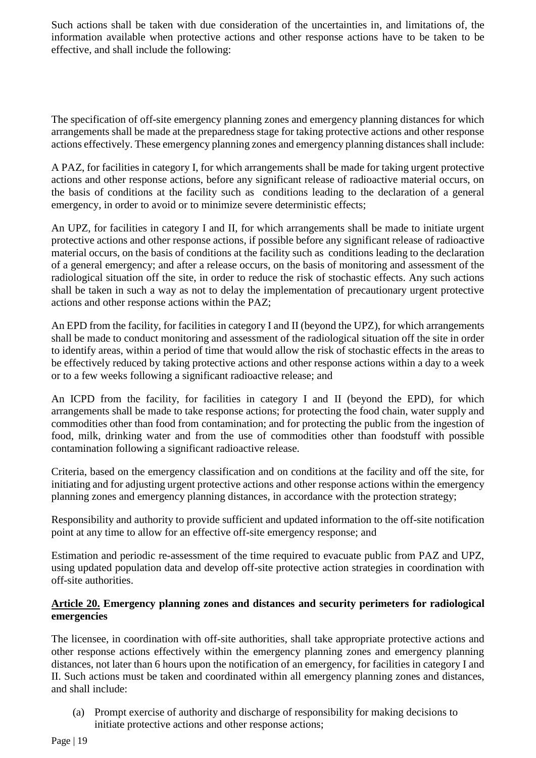Such actions shall be taken with due consideration of the uncertainties in, and limitations of, the information available when protective actions and other response actions have to be taken to be effective, and shall include the following:

The specification of off-site emergency planning zones and emergency planning distances for which arrangements shall be made at the preparedness stage for taking protective actions and other response actions effectively. These emergency planning zones and emergency planning distances shall include:

A PAZ, for facilities in category I, for which arrangements shall be made for taking urgent protective actions and other response actions, before any significant release of radioactive material occurs, on the basis of conditions at the facility such as conditions leading to the declaration of a general emergency, in order to avoid or to minimize severe deterministic effects;

An UPZ, for facilities in category I and II, for which arrangements shall be made to initiate urgent protective actions and other response actions, if possible before any significant release of radioactive material occurs, on the basis of conditions at the facility such as conditions leading to the declaration of a general emergency; and after a release occurs, on the basis of monitoring and assessment of the radiological situation off the site, in order to reduce the risk of stochastic effects. Any such actions shall be taken in such a way as not to delay the implementation of precautionary urgent protective actions and other response actions within the PAZ;

An EPD from the facility, for facilities in category I and II (beyond the UPZ), for which arrangements shall be made to conduct monitoring and assessment of the radiological situation off the site in order to identify areas, within a period of time that would allow the risk of stochastic effects in the areas to be effectively reduced by taking protective actions and other response actions within a day to a week or to a few weeks following a significant radioactive release; and

An ICPD from the facility, for facilities in category I and II (beyond the EPD), for which arrangements shall be made to take response actions; for protecting the food chain, water supply and commodities other than food from contamination; and for protecting the public from the ingestion of food, milk, drinking water and from the use of commodities other than foodstuff with possible contamination following a significant radioactive release.

Criteria, based on the emergency classification and on conditions at the facility and off the site, for initiating and for adjusting urgent protective actions and other response actions within the emergency planning zones and emergency planning distances, in accordance with the protection strategy;

Responsibility and authority to provide sufficient and updated information to the off-site notification point at any time to allow for an effective off-site emergency response; and

Estimation and periodic re-assessment of the time required to evacuate public from PAZ and UPZ, using updated population data and develop off-site protective action strategies in coordination with off-site authorities.

### <span id="page-18-0"></span>**Article 20. Emergency planning zones and distances and security perimeters for radiological emergencies**

The licensee, in coordination with off-site authorities, shall take appropriate protective actions and other response actions effectively within the emergency planning zones and emergency planning distances, not later than 6 hours upon the notification of an emergency, for facilities in category I and II. Such actions must be taken and coordinated within all emergency planning zones and distances, and shall include:

(a) Prompt exercise of authority and discharge of responsibility for making decisions to initiate protective actions and other response actions;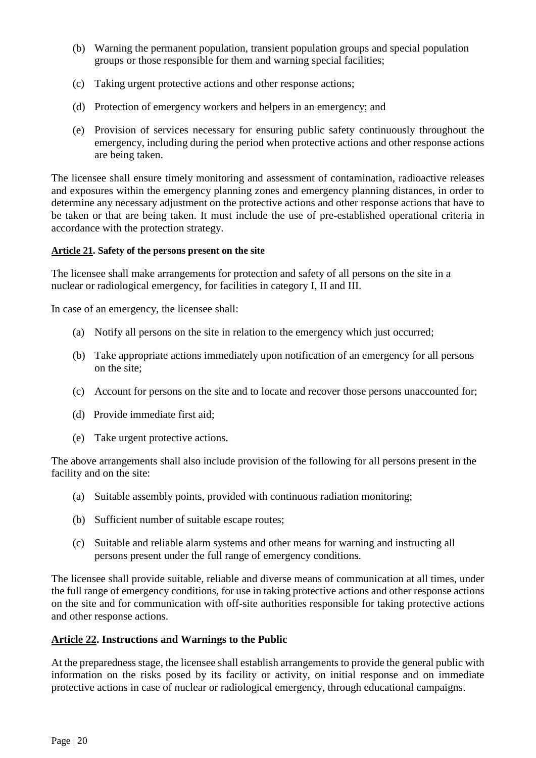- (b) Warning the permanent population, transient population groups and special population groups or those responsible for them and warning special facilities;
- (c) Taking urgent protective actions and other response actions;
- (d) Protection of emergency workers and helpers in an emergency; and
- (e) Provision of services necessary for ensuring public safety continuously throughout the emergency, including during the period when protective actions and other response actions are being taken.

The licensee shall ensure timely monitoring and assessment of contamination, radioactive releases and exposures within the emergency planning zones and emergency planning distances, in order to determine any necessary adjustment on the protective actions and other response actions that have to be taken or that are being taken. It must include the use of pre-established operational criteria in accordance with the protection strategy.

#### **Article 21. Safety of the persons present on the site**

The licensee shall make arrangements for protection and safety of all persons on the site in a nuclear or radiological emergency, for facilities in category I, II and III.

In case of an emergency, the licensee shall:

- (a) Notify all persons on the site in relation to the emergency which just occurred;
- (b) Take appropriate actions immediately upon notification of an emergency for all persons on the site;
- (c) Account for persons on the site and to locate and recover those persons unaccounted for;
- (d) Provide immediate first aid;
- (e) Take urgent protective actions.

The above arrangements shall also include provision of the following for all persons present in the facility and on the site:

- (a) Suitable assembly points, provided with continuous radiation monitoring;
- (b) Sufficient number of suitable escape routes;
- (c) Suitable and reliable alarm systems and other means for warning and instructing all persons present under the full range of emergency conditions.

The licensee shall provide suitable, reliable and diverse means of communication at all times, under the full range of emergency conditions, for use in taking protective actions and other response actions on the site and for communication with off-site authorities responsible for taking protective actions and other response actions.

#### <span id="page-19-0"></span>**Article 22. Instructions and Warnings to the Public**

At the preparedness stage, the licensee shall establish arrangements to provide the general public with information on the risks posed by its facility or activity, on initial response and on immediate protective actions in case of nuclear or radiological emergency, through educational campaigns.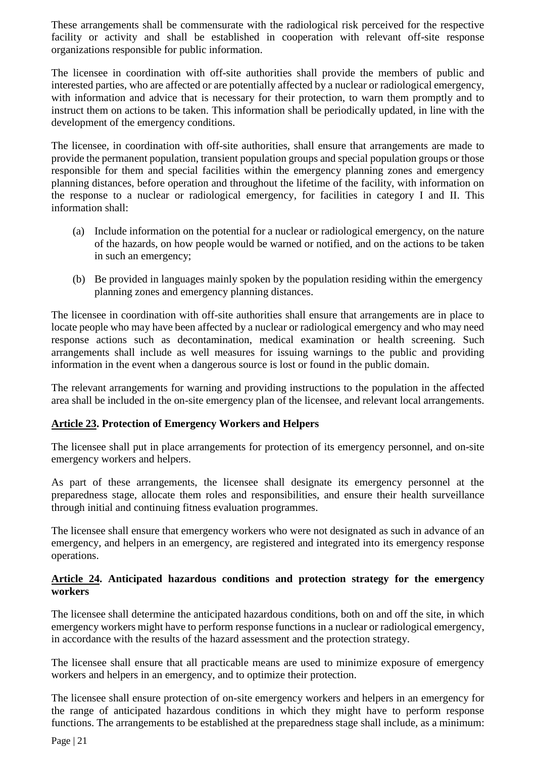These arrangements shall be commensurate with the radiological risk perceived for the respective facility or activity and shall be established in cooperation with relevant off-site response organizations responsible for public information.

The licensee in coordination with off-site authorities shall provide the members of public and interested parties, who are affected or are potentially affected by a nuclear or radiological emergency, with information and advice that is necessary for their protection, to warn them promptly and to instruct them on actions to be taken. This information shall be periodically updated, in line with the development of the emergency conditions.

The licensee, in coordination with off-site authorities, shall ensure that arrangements are made to provide the permanent population, transient population groups and special population groups or those responsible for them and special facilities within the emergency planning zones and emergency planning distances, before operation and throughout the lifetime of the facility, with information on the response to a nuclear or radiological emergency, for facilities in category I and II. This information shall:

- (a) Include information on the potential for a nuclear or radiological emergency, on the nature of the hazards, on how people would be warned or notified, and on the actions to be taken in such an emergency;
- (b) Be provided in languages mainly spoken by the population residing within the emergency planning zones and emergency planning distances.

The licensee in coordination with off-site authorities shall ensure that arrangements are in place to locate people who may have been affected by a nuclear or radiological emergency and who may need response actions such as decontamination, medical examination or health screening. Such arrangements shall include as well measures for issuing warnings to the public and providing information in the event when a dangerous source is lost or found in the public domain.

The relevant arrangements for warning and providing instructions to the population in the affected area shall be included in the on-site emergency plan of the licensee, and relevant local arrangements.

### <span id="page-20-0"></span>**Article 23. Protection of Emergency Workers and Helpers**

The licensee shall put in place arrangements for protection of its emergency personnel, and on-site emergency workers and helpers.

As part of these arrangements, the licensee shall designate its emergency personnel at the preparedness stage, allocate them roles and responsibilities, and ensure their health surveillance through initial and continuing fitness evaluation programmes.

The licensee shall ensure that emergency workers who were not designated as such in advance of an emergency, and helpers in an emergency, are registered and integrated into its emergency response operations.

### <span id="page-20-1"></span>**Article 24. Anticipated hazardous conditions and protection strategy for the emergency workers**

The licensee shall determine the anticipated hazardous conditions, both on and off the site, in which emergency workers might have to perform response functions in a nuclear or radiological emergency, in accordance with the results of the hazard assessment and the protection strategy.

The licensee shall ensure that all practicable means are used to minimize exposure of emergency workers and helpers in an emergency, and to optimize their protection.

The licensee shall ensure protection of on-site emergency workers and helpers in an emergency for the range of anticipated hazardous conditions in which they might have to perform response functions. The arrangements to be established at the preparedness stage shall include, as a minimum: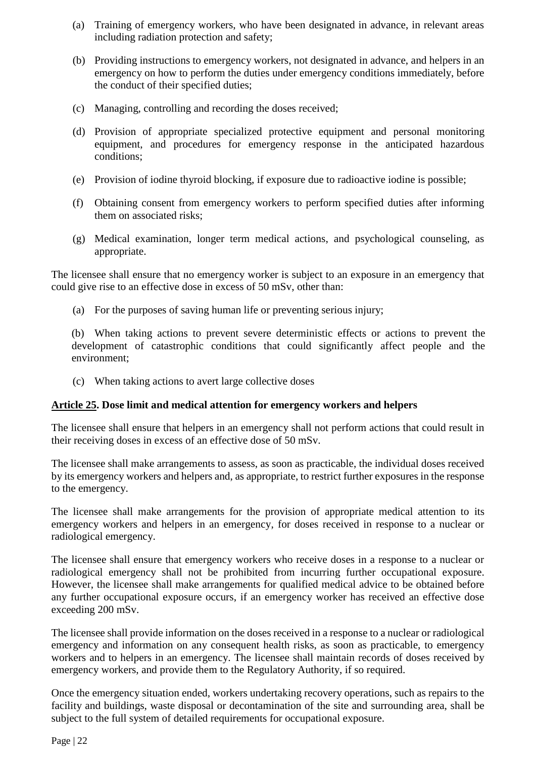- (a) Training of emergency workers, who have been designated in advance, in relevant areas including radiation protection and safety;
- (b) Providing instructions to emergency workers, not designated in advance, and helpers in an emergency on how to perform the duties under emergency conditions immediately, before the conduct of their specified duties;
- (c) Managing, controlling and recording the doses received;
- (d) Provision of appropriate specialized protective equipment and personal monitoring equipment, and procedures for emergency response in the anticipated hazardous conditions;
- (e) Provision of iodine thyroid blocking, if exposure due to radioactive iodine is possible;
- (f) Obtaining consent from emergency workers to perform specified duties after informing them on associated risks;
- (g) Medical examination, longer term medical actions, and psychological counseling, as appropriate.

The licensee shall ensure that no emergency worker is subject to an exposure in an emergency that could give rise to an effective dose in excess of 50 mSv, other than:

(a) For the purposes of saving human life or preventing serious injury;

(b) When taking actions to prevent severe deterministic effects or actions to prevent the development of catastrophic conditions that could significantly affect people and the environment;

(c) When taking actions to avert large collective doses

### <span id="page-21-0"></span>**Article 25. Dose limit and medical attention for emergency workers and helpers**

The licensee shall ensure that helpers in an emergency shall not perform actions that could result in their receiving doses in excess of an effective dose of 50 mSv.

The licensee shall make arrangements to assess, as soon as practicable, the individual doses received by its emergency workers and helpers and, as appropriate, to restrict further exposures in the response to the emergency.

The licensee shall make arrangements for the provision of appropriate medical attention to its emergency workers and helpers in an emergency, for doses received in response to a nuclear or radiological emergency.

The licensee shall ensure that emergency workers who receive doses in a response to a nuclear or radiological emergency shall not be prohibited from incurring further occupational exposure. However, the licensee shall make arrangements for qualified medical advice to be obtained before any further occupational exposure occurs, if an emergency worker has received an effective dose exceeding 200 mSv.

The licensee shall provide information on the doses received in a response to a nuclear or radiological emergency and information on any consequent health risks, as soon as practicable, to emergency workers and to helpers in an emergency. The licensee shall maintain records of doses received by emergency workers, and provide them to the Regulatory Authority, if so required.

Once the emergency situation ended, workers undertaking recovery operations, such as repairs to the facility and buildings, waste disposal or decontamination of the site and surrounding area, shall be subject to the full system of detailed requirements for occupational exposure.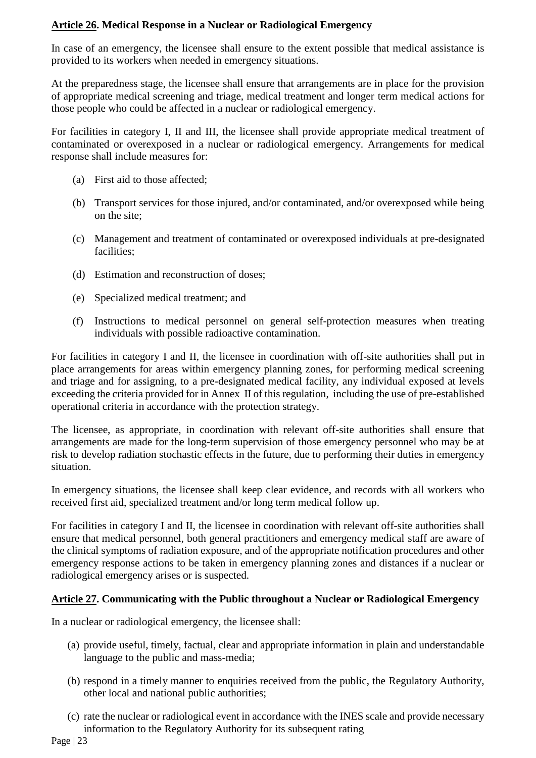### <span id="page-22-0"></span>**Article 26. Medical Response in a Nuclear or Radiological Emergency**

In case of an emergency, the licensee shall ensure to the extent possible that medical assistance is provided to its workers when needed in emergency situations.

At the preparedness stage, the licensee shall ensure that arrangements are in place for the provision of appropriate medical screening and triage, medical treatment and longer term medical actions for those people who could be affected in a nuclear or radiological emergency.

For facilities in category I, II and III, the licensee shall provide appropriate medical treatment of contaminated or overexposed in a nuclear or radiological emergency. Arrangements for medical response shall include measures for:

- (a) First aid to those affected;
- (b) Transport services for those injured, and/or contaminated, and/or overexposed while being on the site;
- (c) Management and treatment of contaminated or overexposed individuals at pre-designated facilities;
- (d) Estimation and reconstruction of doses;
- (e) Specialized medical treatment; and
- (f) Instructions to medical personnel on general self-protection measures when treating individuals with possible radioactive contamination.

For facilities in category I and II, the licensee in coordination with off-site authorities shall put in place arrangements for areas within emergency planning zones, for performing medical screening and triage and for assigning, to a pre-designated medical facility, any individual exposed at levels exceeding the criteria provided for in Annex II of this regulation, including the use of pre-established operational criteria in accordance with the protection strategy.

The licensee, as appropriate, in coordination with relevant off-site authorities shall ensure that arrangements are made for the long-term supervision of those emergency personnel who may be at risk to develop radiation stochastic effects in the future, due to performing their duties in emergency situation.

In emergency situations, the licensee shall keep clear evidence, and records with all workers who received first aid, specialized treatment and/or long term medical follow up.

For facilities in category I and II, the licensee in coordination with relevant off-site authorities shall ensure that medical personnel, both general practitioners and emergency medical staff are aware of the clinical symptoms of radiation exposure, and of the appropriate notification procedures and other emergency response actions to be taken in emergency planning zones and distances if a nuclear or radiological emergency arises or is suspected.

### <span id="page-22-1"></span>**Article 27. Communicating with the Public throughout a Nuclear or Radiological Emergency**

In a nuclear or radiological emergency, the licensee shall:

- (a) provide useful, timely, factual, clear and appropriate information in plain and understandable language to the public and mass-media;
- (b) respond in a timely manner to enquiries received from the public, the Regulatory Authority, other local and national public authorities;
- (c) rate the nuclear or radiological event in accordance with the INES scale and provide necessary information to the Regulatory Authority for its subsequent rating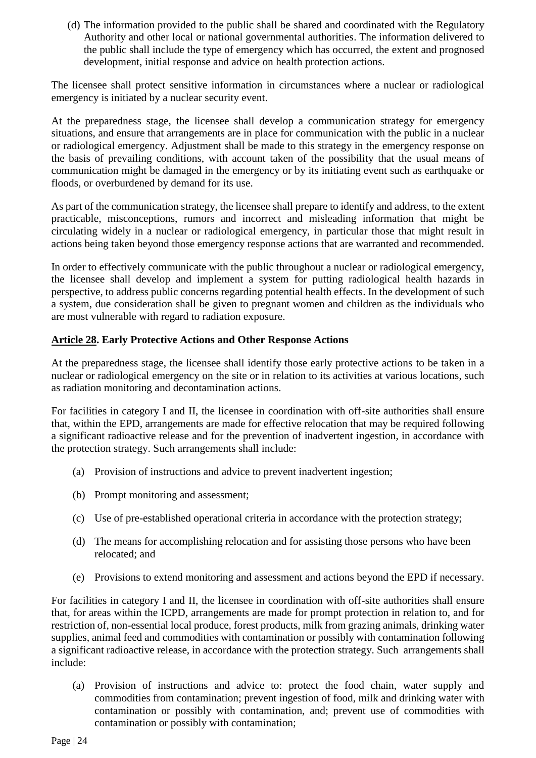(d) The information provided to the public shall be shared and coordinated with the Regulatory Authority and other local or national governmental authorities. The information delivered to the public shall include the type of emergency which has occurred, the extent and prognosed development, initial response and advice on health protection actions.

The licensee shall protect sensitive information in circumstances where a nuclear or radiological emergency is initiated by a nuclear security event.

At the preparedness stage, the licensee shall develop a communication strategy for emergency situations, and ensure that arrangements are in place for communication with the public in a nuclear or radiological emergency. Adjustment shall be made to this strategy in the emergency response on the basis of prevailing conditions, with account taken of the possibility that the usual means of communication might be damaged in the emergency or by its initiating event such as earthquake or floods, or overburdened by demand for its use.

As part of the communication strategy, the licensee shall prepare to identify and address, to the extent practicable, misconceptions, rumors and incorrect and misleading information that might be circulating widely in a nuclear or radiological emergency, in particular those that might result in actions being taken beyond those emergency response actions that are warranted and recommended.

In order to effectively communicate with the public throughout a nuclear or radiological emergency, the licensee shall develop and implement a system for putting radiological health hazards in perspective, to address public concerns regarding potential health effects. In the development of such a system, due consideration shall be given to pregnant women and children as the individuals who are most vulnerable with regard to radiation exposure.

### <span id="page-23-0"></span>**Article 28. Early Protective Actions and Other Response Actions**

At the preparedness stage, the licensee shall identify those early protective actions to be taken in a nuclear or radiological emergency on the site or in relation to its activities at various locations, such as radiation monitoring and decontamination actions.

For facilities in category I and II, the licensee in coordination with off-site authorities shall ensure that, within the EPD, arrangements are made for effective relocation that may be required following a significant radioactive release and for the prevention of inadvertent ingestion, in accordance with the protection strategy. Such arrangements shall include:

- (a) Provision of instructions and advice to prevent inadvertent ingestion;
- (b) Prompt monitoring and assessment;
- (c) Use of pre-established operational criteria in accordance with the protection strategy;
- (d) The means for accomplishing relocation and for assisting those persons who have been relocated; and
- (e) Provisions to extend monitoring and assessment and actions beyond the EPD if necessary.

For facilities in category I and II, the licensee in coordination with off-site authorities shall ensure that, for areas within the ICPD, arrangements are made for prompt protection in relation to, and for restriction of, non-essential local produce, forest products, milk from grazing animals, drinking water supplies, animal feed and commodities with contamination or possibly with contamination following a significant radioactive release, in accordance with the protection strategy. Such arrangements shall include:

(a) Provision of instructions and advice to: protect the food chain, water supply and commodities from contamination; prevent ingestion of food, milk and drinking water with contamination or possibly with contamination, and; prevent use of commodities with contamination or possibly with contamination;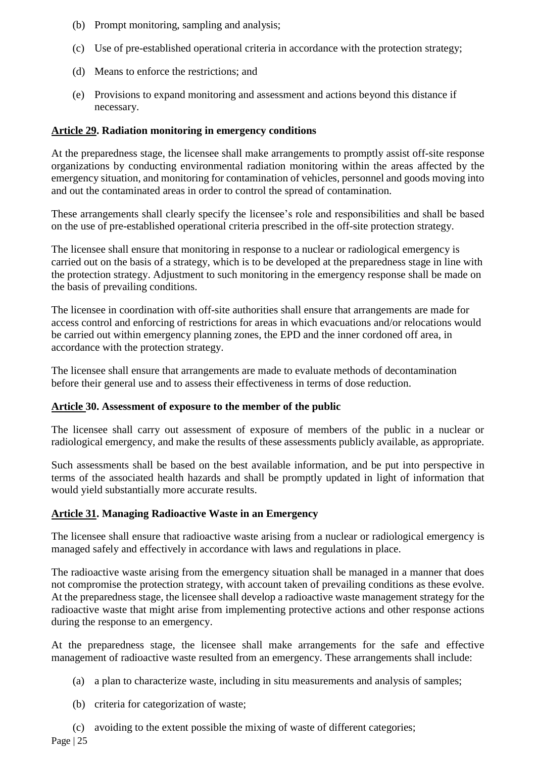- (b) Prompt monitoring, sampling and analysis;
- (c) Use of pre-established operational criteria in accordance with the protection strategy;
- (d) Means to enforce the restrictions; and
- (e) Provisions to expand monitoring and assessment and actions beyond this distance if necessary.

### <span id="page-24-0"></span>**Article 29. Radiation monitoring in emergency conditions**

At the preparedness stage, the licensee shall make arrangements to promptly assist off-site response organizations by conducting environmental radiation monitoring within the areas affected by the emergency situation, and monitoring for contamination of vehicles, personnel and goods moving into and out the contaminated areas in order to control the spread of contamination.

These arrangements shall clearly specify the licensee's role and responsibilities and shall be based on the use of pre-established operational criteria prescribed in the off-site protection strategy.

The licensee shall ensure that monitoring in response to a nuclear or radiological emergency is carried out on the basis of a strategy, which is to be developed at the preparedness stage in line with the protection strategy. Adjustment to such monitoring in the emergency response shall be made on the basis of prevailing conditions.

The licensee in coordination with off-site authorities shall ensure that arrangements are made for access control and enforcing of restrictions for areas in which evacuations and/or relocations would be carried out within emergency planning zones, the EPD and the inner cordoned off area, in accordance with the protection strategy.

The licensee shall ensure that arrangements are made to evaluate methods of decontamination before their general use and to assess their effectiveness in terms of dose reduction.

### <span id="page-24-1"></span>**Article 30. Assessment of exposure to the member of the public**

The licensee shall carry out assessment of exposure of members of the public in a nuclear or radiological emergency, and make the results of these assessments publicly available, as appropriate.

Such assessments shall be based on the best available information, and be put into perspective in terms of the associated health hazards and shall be promptly updated in light of information that would yield substantially more accurate results.

### <span id="page-24-2"></span>**Article 31. Managing Radioactive Waste in an Emergency**

The licensee shall ensure that radioactive waste arising from a nuclear or radiological emergency is managed safely and effectively in accordance with laws and regulations in place.

The radioactive waste arising from the emergency situation shall be managed in a manner that does not compromise the protection strategy, with account taken of prevailing conditions as these evolve. At the preparedness stage, the licensee shall develop a radioactive waste management strategy for the radioactive waste that might arise from implementing protective actions and other response actions during the response to an emergency.

At the preparedness stage, the licensee shall make arrangements for the safe and effective management of radioactive waste resulted from an emergency. These arrangements shall include:

- (a) a plan to characterize waste, including in situ measurements and analysis of samples;
- (b) criteria for categorization of waste;
- Page | 25 (c) avoiding to the extent possible the mixing of waste of different categories;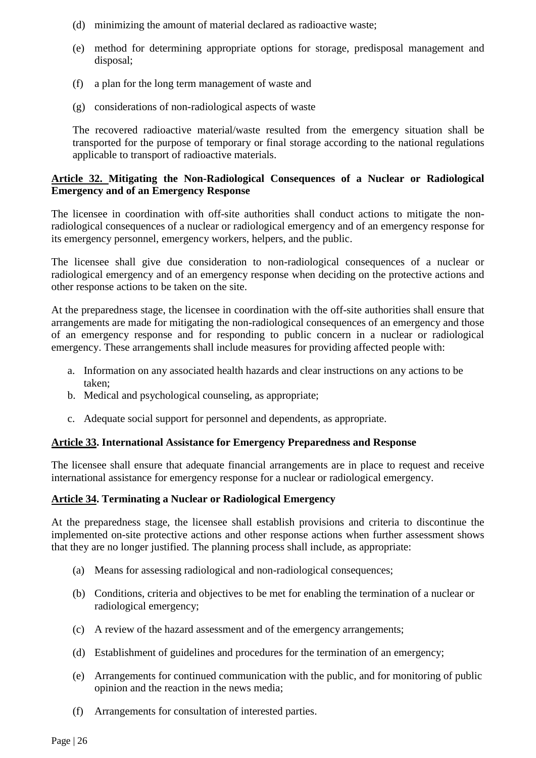- (d) minimizing the amount of material declared as radioactive waste;
- (e) method for determining appropriate options for storage, predisposal management and disposal;
- (f) a plan for the long term management of waste and
- (g) considerations of non-radiological aspects of waste

The recovered radioactive material/waste resulted from the emergency situation shall be transported for the purpose of temporary or final storage according to the national regulations applicable to transport of radioactive materials.

#### <span id="page-25-0"></span>**Article 32. Mitigating the Non-Radiological Consequences of a Nuclear or Radiological Emergency and of an Emergency Response**

The licensee in coordination with off-site authorities shall conduct actions to mitigate the nonradiological consequences of a nuclear or radiological emergency and of an emergency response for its emergency personnel, emergency workers, helpers, and the public.

The licensee shall give due consideration to non-radiological consequences of a nuclear or radiological emergency and of an emergency response when deciding on the protective actions and other response actions to be taken on the site.

At the preparedness stage, the licensee in coordination with the off-site authorities shall ensure that arrangements are made for mitigating the non-radiological consequences of an emergency and those of an emergency response and for responding to public concern in a nuclear or radiological emergency. These arrangements shall include measures for providing affected people with:

- a. Information on any associated health hazards and clear instructions on any actions to be taken;
- <span id="page-25-1"></span>b. Medical and psychological counseling, as appropriate;
- c. Adequate social support for personnel and dependents, as appropriate.

#### <span id="page-25-2"></span>**Article 33. International Assistance for Emergency Preparedness and Response**

The licensee shall ensure that adequate financial arrangements are in place to request and receive international assistance for emergency response for a nuclear or radiological emergency.

#### <span id="page-25-3"></span>**Article 34. Terminating a Nuclear or Radiological Emergency**

At the preparedness stage, the licensee shall establish provisions and criteria to discontinue the implemented on-site protective actions and other response actions when further assessment shows that they are no longer justified. The planning process shall include, as appropriate:

- (a) Means for assessing radiological and non-radiological consequences;
- (b) Conditions, criteria and objectives to be met for enabling the termination of a nuclear or radiological emergency;
- (c) A review of the hazard assessment and of the emergency arrangements;
- (d) Establishment of guidelines and procedures for the termination of an emergency;
- (e) Arrangements for continued communication with the public, and for monitoring of public opinion and the reaction in the news media;
- (f) Arrangements for consultation of interested parties.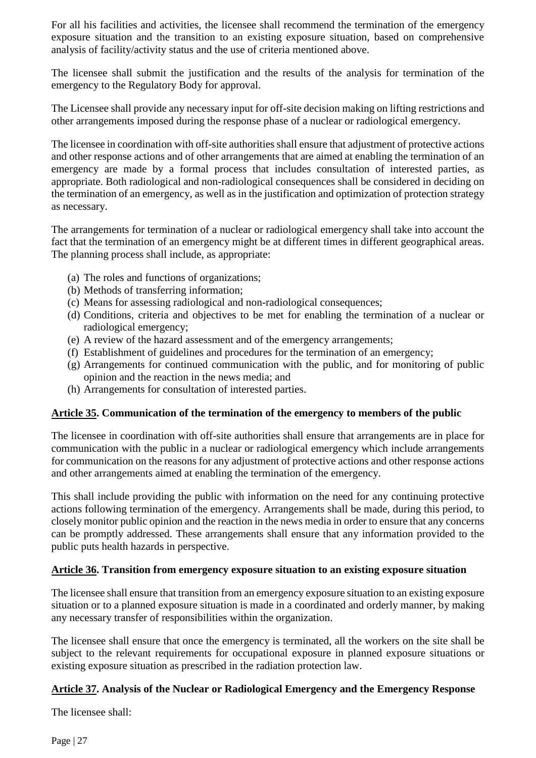For all his facilities and activities, the licensee shall recommend the termination of the emergency exposure situation and the transition to an existing exposure situation, based on comprehensive analysis of facility/activity status and the use of criteria mentioned above.

The licensee shall submit the justification and the results of the analysis for termination of the emergency to the Regulatory Body for approval.

The Licensee shall provide any necessary input for off-site decision making on lifting restrictions and other arrangements imposed during the response phase of a nuclear or radiological emergency.

The licensee in coordination with off-site authorities shall ensure that adjustment of protective actions and other response actions and of other arrangements that are aimed at enabling the termination of an emergency are made by a formal process that includes consultation of interested parties, as appropriate. Both radiological and non-radiological consequences shall be considered in deciding on the termination of an emergency, as well as in the justification and optimization of protection strategy as necessary.

The arrangements for termination of a nuclear or radiological emergency shall take into account the fact that the termination of an emergency might be at different times in different geographical areas. The planning process shall include, as appropriate:

- (a) The roles and functions of organizations;
- (b) Methods of transferring information;
- (c) Means for assessing radiological and non-radiological consequences;
- (d) Conditions, criteria and objectives to be met for enabling the termination of a nuclear or radiological emergency;
- (e) A review of the hazard assessment and of the emergency arrangements;
- (f) Establishment of guidelines and procedures for the termination of an emergency;
- (g) Arrangements for continued communication with the public, and for monitoring of public opinion and the reaction in the news media; and
- (h) Arrangements for consultation of interested parties.

### <span id="page-26-0"></span>**Article 35. Communication of the termination of the emergency to members of the public**

The licensee in coordination with off-site authorities shall ensure that arrangements are in place for communication with the public in a nuclear or radiological emergency which include arrangements for communication on the reasons for any adjustment of protective actions and other response actions and other arrangements aimed at enabling the termination of the emergency.

This shall include providing the public with information on the need for any continuing protective actions following termination of the emergency. Arrangements shall be made, during this period, to closely monitor public opinion and the reaction in the news media in order to ensure that any concerns can be promptly addressed. These arrangements shall ensure that any information provided to the public puts health hazards in perspective.

### <span id="page-26-1"></span>**Article 36. Transition from emergency exposure situation to an existing exposure situation**

The licensee shall ensure that transition from an emergency exposure situation to an existing exposure situation or to a planned exposure situation is made in a coordinated and orderly manner, by making any necessary transfer of responsibilities within the organization.

The licensee shall ensure that once the emergency is terminated, all the workers on the site shall be subject to the relevant requirements for occupational exposure in planned exposure situations or existing exposure situation as prescribed in the radiation protection law.

### <span id="page-26-2"></span>**Article 37. Analysis of the Nuclear or Radiological Emergency and the Emergency Response**

The licensee shall: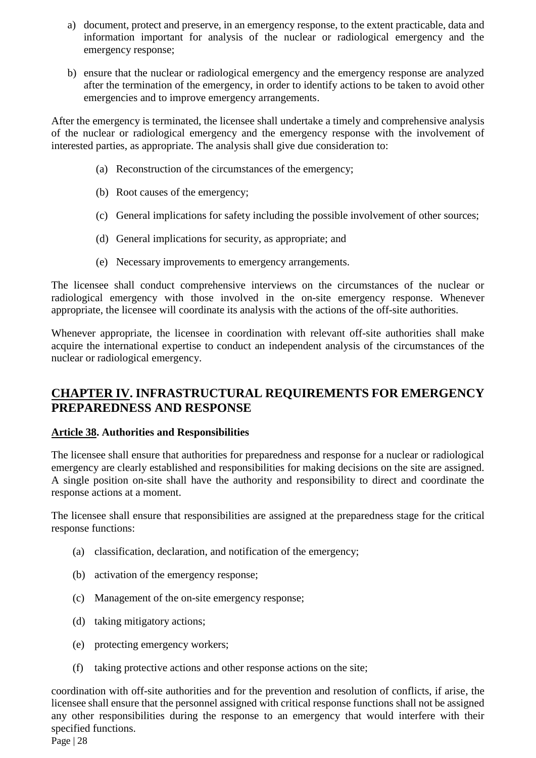- a) document, protect and preserve, in an emergency response, to the extent practicable, data and information important for analysis of the nuclear or radiological emergency and the emergency response;
- b) ensure that the nuclear or radiological emergency and the emergency response are analyzed after the termination of the emergency, in order to identify actions to be taken to avoid other emergencies and to improve emergency arrangements.

After the emergency is terminated, the licensee shall undertake a timely and comprehensive analysis of the nuclear or radiological emergency and the emergency response with the involvement of interested parties, as appropriate. The analysis shall give due consideration to:

- (a) Reconstruction of the circumstances of the emergency;
- (b) Root causes of the emergency;
- (c) General implications for safety including the possible involvement of other sources;
- (d) General implications for security, as appropriate; and
- (e) Necessary improvements to emergency arrangements.

The licensee shall conduct comprehensive interviews on the circumstances of the nuclear or radiological emergency with those involved in the on-site emergency response. Whenever appropriate, the licensee will coordinate its analysis with the actions of the off-site authorities.

Whenever appropriate, the licensee in coordination with relevant off-site authorities shall make acquire the international expertise to conduct an independent analysis of the circumstances of the nuclear or radiological emergency.

## <span id="page-27-0"></span>**CHAPTER IV. INFRASTRUCTURAL REQUIREMENTS FOR EMERGENCY PREPAREDNESS AND RESPONSE**

#### <span id="page-27-1"></span>**Article 38. Authorities and Responsibilities**

The licensee shall ensure that authorities for preparedness and response for a nuclear or radiological emergency are clearly established and responsibilities for making decisions on the site are assigned. A single position on-site shall have the authority and responsibility to direct and coordinate the response actions at a moment.

The licensee shall ensure that responsibilities are assigned at the preparedness stage for the critical response functions:

- (a) classification, declaration, and notification of the emergency;
- (b) activation of the emergency response;
- (c) Management of the on-site emergency response;
- (d) taking mitigatory actions;
- (e) protecting emergency workers;
- (f) taking protective actions and other response actions on the site;

coordination with off-site authorities and for the prevention and resolution of conflicts, if arise, the licensee shall ensure that the personnel assigned with critical response functions shall not be assigned any other responsibilities during the response to an emergency that would interfere with their specified functions.

Page | 28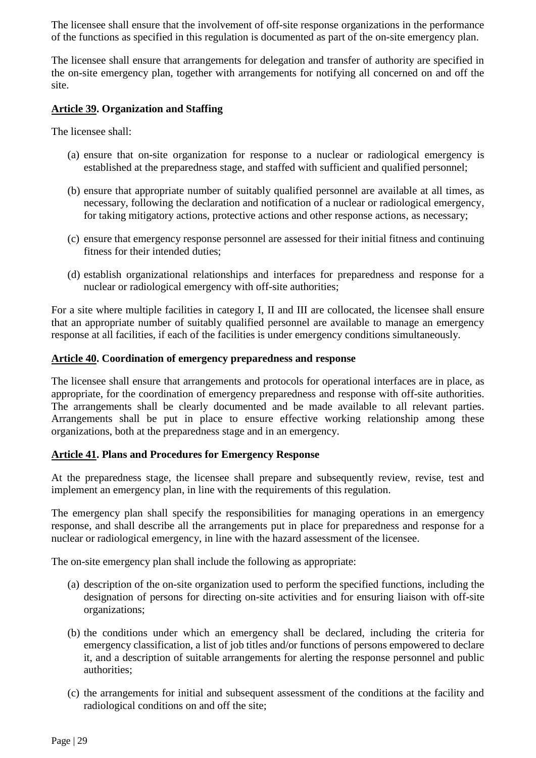The licensee shall ensure that the involvement of off-site response organizations in the performance of the functions as specified in this regulation is documented as part of the on-site emergency plan.

The licensee shall ensure that arrangements for delegation and transfer of authority are specified in the on-site emergency plan, together with arrangements for notifying all concerned on and off the site.

### <span id="page-28-0"></span>**Article 39. Organization and Staffing**

The licensee shall:

- (a) ensure that on-site organization for response to a nuclear or radiological emergency is established at the preparedness stage, and staffed with sufficient and qualified personnel;
- (b) ensure that appropriate number of suitably qualified personnel are available at all times, as necessary, following the declaration and notification of a nuclear or radiological emergency, for taking mitigatory actions, protective actions and other response actions, as necessary;
- (c) ensure that emergency response personnel are assessed for their initial fitness and continuing fitness for their intended duties;
- (d) establish organizational relationships and interfaces for preparedness and response for a nuclear or radiological emergency with off-site authorities;

For a site where multiple facilities in category I, II and III are collocated, the licensee shall ensure that an appropriate number of suitably qualified personnel are available to manage an emergency response at all facilities, if each of the facilities is under emergency conditions simultaneously.

#### <span id="page-28-1"></span>**Article 40. Coordination of emergency preparedness and response**

The licensee shall ensure that arrangements and protocols for operational interfaces are in place, as appropriate, for the coordination of emergency preparedness and response with off-site authorities. The arrangements shall be clearly documented and be made available to all relevant parties. Arrangements shall be put in place to ensure effective working relationship among these organizations, both at the preparedness stage and in an emergency.

#### <span id="page-28-2"></span>**Article 41. Plans and Procedures for Emergency Response**

At the preparedness stage, the licensee shall prepare and subsequently review, revise, test and implement an emergency plan, in line with the requirements of this regulation.

The emergency plan shall specify the responsibilities for managing operations in an emergency response, and shall describe all the arrangements put in place for preparedness and response for a nuclear or radiological emergency, in line with the hazard assessment of the licensee.

The on-site emergency plan shall include the following as appropriate:

- (a) description of the on-site organization used to perform the specified functions, including the designation of persons for directing on-site activities and for ensuring liaison with off-site organizations;
- (b) the conditions under which an emergency shall be declared, including the criteria for emergency classification, a list of job titles and/or functions of persons empowered to declare it, and a description of suitable arrangements for alerting the response personnel and public authorities;
- (c) the arrangements for initial and subsequent assessment of the conditions at the facility and radiological conditions on and off the site;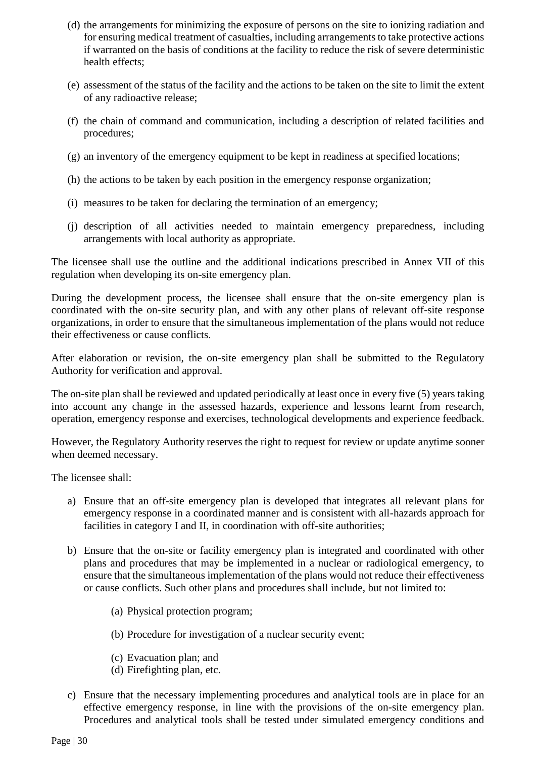- (d) the arrangements for minimizing the exposure of persons on the site to ionizing radiation and for ensuring medical treatment of casualties, including arrangements to take protective actions if warranted on the basis of conditions at the facility to reduce the risk of severe deterministic health effects;
- (e) assessment of the status of the facility and the actions to be taken on the site to limit the extent of any radioactive release;
- (f) the chain of command and communication, including a description of related facilities and procedures;
- (g) an inventory of the emergency equipment to be kept in readiness at specified locations;
- (h) the actions to be taken by each position in the emergency response organization;
- (i) measures to be taken for declaring the termination of an emergency;
- (j) description of all activities needed to maintain emergency preparedness, including arrangements with local authority as appropriate.

The licensee shall use the outline and the additional indications prescribed in Annex VII of this regulation when developing its on-site emergency plan.

During the development process, the licensee shall ensure that the on-site emergency plan is coordinated with the on-site security plan, and with any other plans of relevant off-site response organizations, in order to ensure that the simultaneous implementation of the plans would not reduce their effectiveness or cause conflicts.

After elaboration or revision, the on-site emergency plan shall be submitted to the Regulatory Authority for verification and approval.

The on-site plan shall be reviewed and updated periodically at least once in every five (5) years taking into account any change in the assessed hazards, experience and lessons learnt from research, operation, emergency response and exercises, technological developments and experience feedback.

However, the Regulatory Authority reserves the right to request for review or update anytime sooner when deemed necessary.

The licensee shall:

- a) Ensure that an off-site emergency plan is developed that integrates all relevant plans for emergency response in a coordinated manner and is consistent with all-hazards approach for facilities in category I and II, in coordination with off-site authorities;
- b) Ensure that the on-site or facility emergency plan is integrated and coordinated with other plans and procedures that may be implemented in a nuclear or radiological emergency, to ensure that the simultaneous implementation of the plans would not reduce their effectiveness or cause conflicts. Such other plans and procedures shall include, but not limited to:
	- (a) Physical protection program;
	- (b) Procedure for investigation of a nuclear security event;
	- (c) Evacuation plan; and
	- (d) Firefighting plan, etc.
- c) Ensure that the necessary implementing procedures and analytical tools are in place for an effective emergency response, in line with the provisions of the on-site emergency plan. Procedures and analytical tools shall be tested under simulated emergency conditions and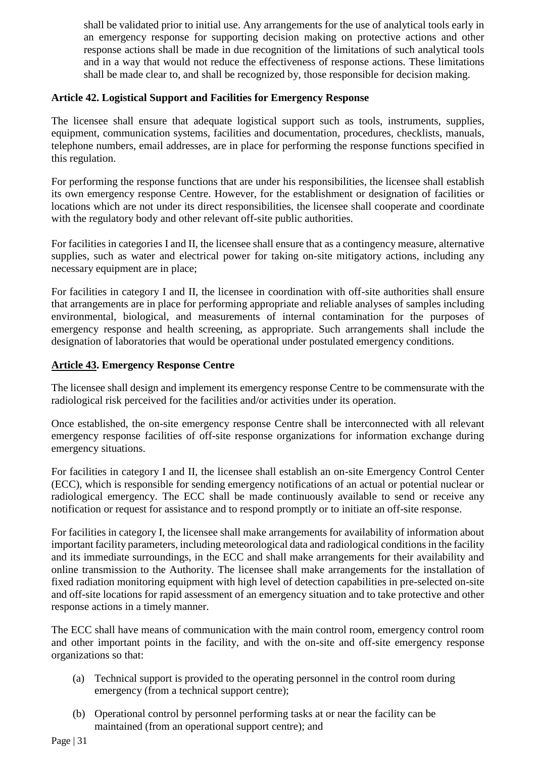shall be validated prior to initial use. Any arrangements for the use of analytical tools early in an emergency response for supporting decision making on protective actions and other response actions shall be made in due recognition of the limitations of such analytical tools and in a way that would not reduce the effectiveness of response actions. These limitations shall be made clear to, and shall be recognized by, those responsible for decision making.

#### **Article 42. Logistical Support and Facilities for Emergency Response**

The licensee shall ensure that adequate logistical support such as tools, instruments, supplies, equipment, communication systems, facilities and documentation, procedures, checklists, manuals, telephone numbers, email addresses, are in place for performing the response functions specified in this regulation.

For performing the response functions that are under his responsibilities, the licensee shall establish its own emergency response Centre. However, for the establishment or designation of facilities or locations which are not under its direct responsibilities, the licensee shall cooperate and coordinate with the regulatory body and other relevant off-site public authorities.

For facilities in categories I and II, the licensee shall ensure that as a contingency measure, alternative supplies, such as water and electrical power for taking on-site mitigatory actions, including any necessary equipment are in place;

For facilities in category I and II, the licensee in coordination with off-site authorities shall ensure that arrangements are in place for performing appropriate and reliable analyses of samples including environmental, biological, and measurements of internal contamination for the purposes of emergency response and health screening, as appropriate. Such arrangements shall include the designation of laboratories that would be operational under postulated emergency conditions.

#### <span id="page-30-0"></span>**Article 43. Emergency Response Centre**

The licensee shall design and implement its emergency response Centre to be commensurate with the radiological risk perceived for the facilities and/or activities under its operation.

Once established, the on-site emergency response Centre shall be interconnected with all relevant emergency response facilities of off-site response organizations for information exchange during emergency situations.

For facilities in category I and II, the licensee shall establish an on-site Emergency Control Center (ECC), which is responsible for sending emergency notifications of an actual or potential nuclear or radiological emergency. The ECC shall be made continuously available to send or receive any notification or request for assistance and to respond promptly or to initiate an off-site response.

For facilities in category I, the licensee shall make arrangements for availability of information about important facility parameters, including meteorological data and radiological conditions in the facility and its immediate surroundings, in the ECC and shall make arrangements for their availability and online transmission to the Authority. The licensee shall make arrangements for the installation of fixed radiation monitoring equipment with high level of detection capabilities in pre-selected on-site and off-site locations for rapid assessment of an emergency situation and to take protective and other response actions in a timely manner.

The ECC shall have means of communication with the main control room, emergency control room and other important points in the facility, and with the on-site and off-site emergency response organizations so that:

- (a) Technical support is provided to the operating personnel in the control room during emergency (from a technical support centre);
- (b) Operational control by personnel performing tasks at or near the facility can be maintained (from an operational support centre); and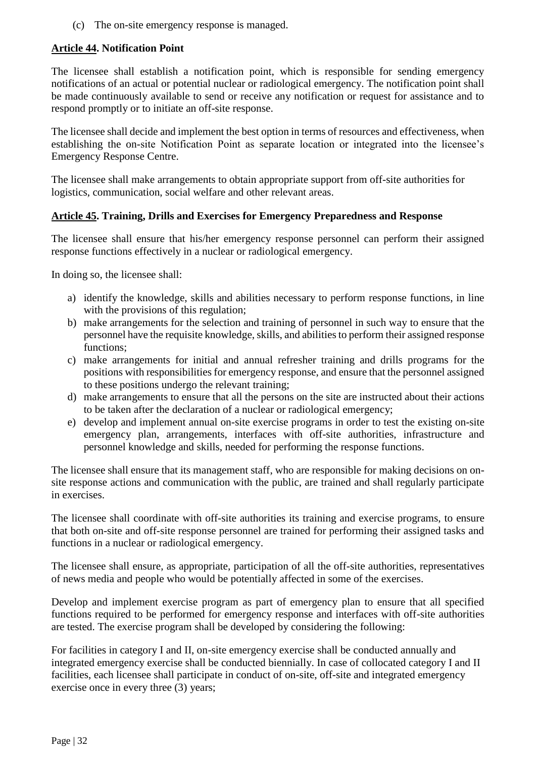(c) The on-site emergency response is managed.

### <span id="page-31-0"></span>**Article 44. Notification Point**

The licensee shall establish a notification point, which is responsible for sending emergency notifications of an actual or potential nuclear or radiological emergency. The notification point shall be made continuously available to send or receive any notification or request for assistance and to respond promptly or to initiate an off-site response.

The licensee shall decide and implement the best option in terms of resources and effectiveness, when establishing the on-site Notification Point as separate location or integrated into the licensee's Emergency Response Centre.

The licensee shall make arrangements to obtain appropriate support from off-site authorities for logistics, communication, social welfare and other relevant areas.

### <span id="page-31-1"></span>**Article 45. Training, Drills and Exercises for Emergency Preparedness and Response**

The licensee shall ensure that his/her emergency response personnel can perform their assigned response functions effectively in a nuclear or radiological emergency.

In doing so, the licensee shall:

- a) identify the knowledge, skills and abilities necessary to perform response functions, in line with the provisions of this regulation;
- b) make arrangements for the selection and training of personnel in such way to ensure that the personnel have the requisite knowledge, skills, and abilities to perform their assigned response functions;
- c) make arrangements for initial and annual refresher training and drills programs for the positions with responsibilities for emergency response, and ensure that the personnel assigned to these positions undergo the relevant training;
- d) make arrangements to ensure that all the persons on the site are instructed about their actions to be taken after the declaration of a nuclear or radiological emergency;
- e) develop and implement annual on-site exercise programs in order to test the existing on-site emergency plan, arrangements, interfaces with off-site authorities, infrastructure and personnel knowledge and skills, needed for performing the response functions.

The licensee shall ensure that its management staff, who are responsible for making decisions on onsite response actions and communication with the public, are trained and shall regularly participate in exercises.

The licensee shall coordinate with off-site authorities its training and exercise programs, to ensure that both on-site and off-site response personnel are trained for performing their assigned tasks and functions in a nuclear or radiological emergency.

The licensee shall ensure, as appropriate, participation of all the off-site authorities, representatives of news media and people who would be potentially affected in some of the exercises.

Develop and implement exercise program as part of emergency plan to ensure that all specified functions required to be performed for emergency response and interfaces with off-site authorities are tested. The exercise program shall be developed by considering the following:

For facilities in category I and II, on-site emergency exercise shall be conducted annually and integrated emergency exercise shall be conducted biennially. In case of collocated category I and II facilities, each licensee shall participate in conduct of on-site, off-site and integrated emergency exercise once in every three (3) years;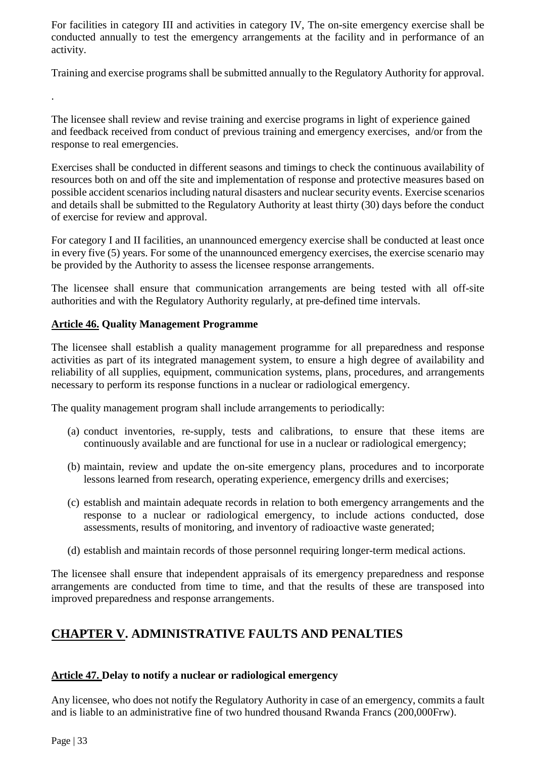For facilities in category III and activities in category IV, The on-site emergency exercise shall be conducted annually to test the emergency arrangements at the facility and in performance of an activity.

Training and exercise programs shall be submitted annually to the Regulatory Authority for approval.

The licensee shall review and revise training and exercise programs in light of experience gained and feedback received from conduct of previous training and emergency exercises, and/or from the response to real emergencies.

Exercises shall be conducted in different seasons and timings to check the continuous availability of resources both on and off the site and implementation of response and protective measures based on possible accident scenarios including natural disasters and nuclear security events. Exercise scenarios and details shall be submitted to the Regulatory Authority at least thirty (30) days before the conduct of exercise for review and approval.

For category I and II facilities, an unannounced emergency exercise shall be conducted at least once in every five (5) years. For some of the unannounced emergency exercises, the exercise scenario may be provided by the Authority to assess the licensee response arrangements.

The licensee shall ensure that communication arrangements are being tested with all off-site authorities and with the Regulatory Authority regularly, at pre-defined time intervals.

### <span id="page-32-0"></span>**Article 46. Quality Management Programme**

The licensee shall establish a quality management programme for all preparedness and response activities as part of its integrated management system, to ensure a high degree of availability and reliability of all supplies, equipment, communication systems, plans, procedures, and arrangements necessary to perform its response functions in a nuclear or radiological emergency.

The quality management program shall include arrangements to periodically:

- (a) conduct inventories, re-supply, tests and calibrations, to ensure that these items are continuously available and are functional for use in a nuclear or radiological emergency;
- (b) maintain, review and update the on-site emergency plans, procedures and to incorporate lessons learned from research, operating experience, emergency drills and exercises;
- (c) establish and maintain adequate records in relation to both emergency arrangements and the response to a nuclear or radiological emergency, to include actions conducted, dose assessments, results of monitoring, and inventory of radioactive waste generated;
- (d) establish and maintain records of those personnel requiring longer-term medical actions.

The licensee shall ensure that independent appraisals of its emergency preparedness and response arrangements are conducted from time to time, and that the results of these are transposed into improved preparedness and response arrangements.

## <span id="page-32-1"></span>**CHAPTER V. ADMINISTRATIVE FAULTS AND PENALTIES**

### **Article 47. Delay to notify a nuclear or radiological emergency**

Any licensee, who does not notify the Regulatory Authority in case of an emergency, commits a fault and is liable to an administrative fine of two hundred thousand Rwanda Francs (200,000Frw).

.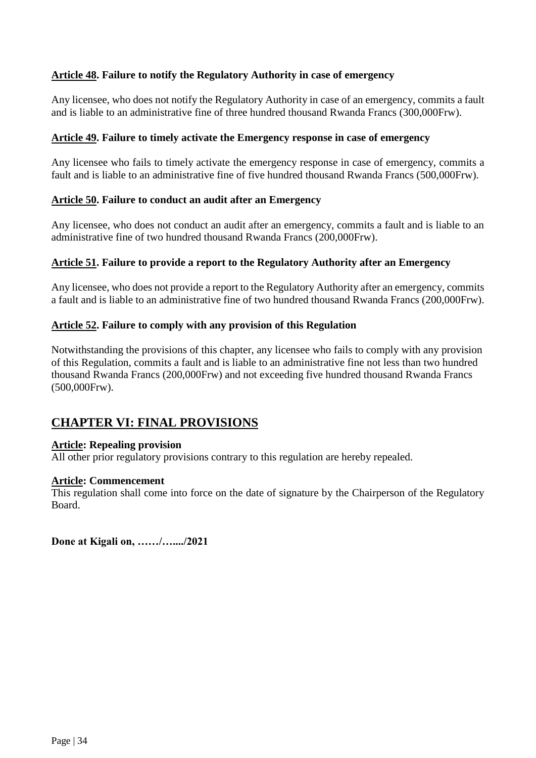### **Article 48. Failure to notify the Regulatory Authority in case of emergency**

Any licensee, who does not notify the Regulatory Authority in case of an emergency, commits a fault and is liable to an administrative fine of three hundred thousand Rwanda Francs (300,000Frw).

#### **Article 49. Failure to timely activate the Emergency response in case of emergency**

Any licensee who fails to timely activate the emergency response in case of emergency, commits a fault and is liable to an administrative fine of five hundred thousand Rwanda Francs (500,000Frw).

#### **Article 50. Failure to conduct an audit after an Emergency**

Any licensee, who does not conduct an audit after an emergency, commits a fault and is liable to an administrative fine of two hundred thousand Rwanda Francs (200,000Frw).

#### **Article 51. Failure to provide a report to the Regulatory Authority after an Emergency**

Any licensee, who does not provide a report to the Regulatory Authority after an emergency, commits a fault and is liable to an administrative fine of two hundred thousand Rwanda Francs (200,000Frw).

#### **Article 52. Failure to comply with any provision of this Regulation**

Notwithstanding the provisions of this chapter, any licensee who fails to comply with any provision of this Regulation, commits a fault and is liable to an administrative fine not less than two hundred thousand Rwanda Francs (200,000Frw) and not exceeding five hundred thousand Rwanda Francs (500,000Frw).

## <span id="page-33-0"></span>**CHAPTER VI: FINAL PROVISIONS**

#### <span id="page-33-1"></span>**Article: Repealing provision**

All other prior regulatory provisions contrary to this regulation are hereby repealed.

#### <span id="page-33-2"></span>**Article: Commencement**

This regulation shall come into force on the date of signature by the Chairperson of the Regulatory Board.

**Done at Kigali on, ……/…..../2021**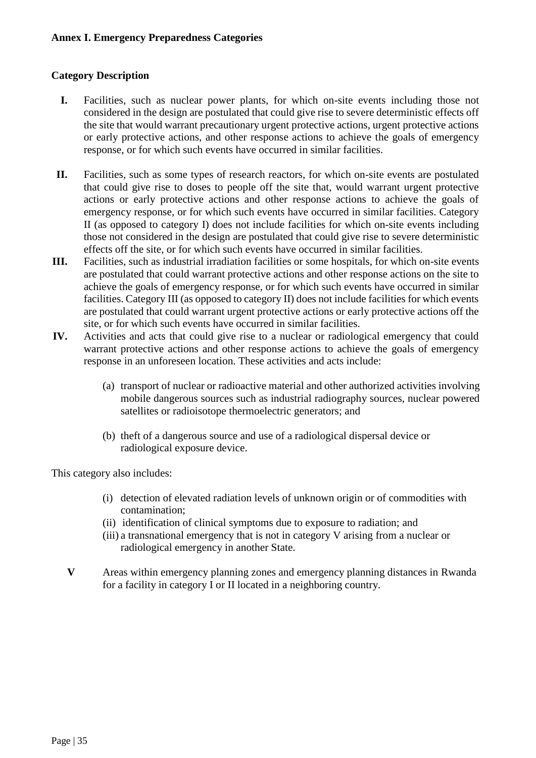### **Category Description**

- **I.** Facilities, such as nuclear power plants, for which on-site events including those not considered in the design are postulated that could give rise to severe deterministic effects off the site that would warrant precautionary urgent protective actions, urgent protective actions or early protective actions, and other response actions to achieve the goals of emergency response, or for which such events have occurred in similar facilities.
- **II.** Facilities, such as some types of research reactors, for which on-site events are postulated that could give rise to doses to people off the site that, would warrant urgent protective actions or early protective actions and other response actions to achieve the goals of emergency response, or for which such events have occurred in similar facilities. Category II (as opposed to category I) does not include facilities for which on-site events including those not considered in the design are postulated that could give rise to severe deterministic effects off the site, or for which such events have occurred in similar facilities.
- **III.** Facilities, such as industrial irradiation facilities or some hospitals, for which on-site events are postulated that could warrant protective actions and other response actions on the site to achieve the goals of emergency response, or for which such events have occurred in similar facilities. Category III (as opposed to category II) does not include facilities for which events are postulated that could warrant urgent protective actions or early protective actions off the site, or for which such events have occurred in similar facilities.
- **IV.** Activities and acts that could give rise to a nuclear or radiological emergency that could warrant protective actions and other response actions to achieve the goals of emergency response in an unforeseen location. These activities and acts include:
	- (a) transport of nuclear or radioactive material and other authorized activities involving mobile dangerous sources such as industrial radiography sources, nuclear powered satellites or radioisotope thermoelectric generators; and
	- (b) theft of a dangerous source and use of a radiological dispersal device or radiological exposure device.

This category also includes:

- (i) detection of elevated radiation levels of unknown origin or of commodities with contamination;
- (ii) identification of clinical symptoms due to exposure to radiation; and
- (iii) a transnational emergency that is not in category V arising from a nuclear or radiological emergency in another State.
- **V** Areas within emergency planning zones and emergency planning distances in Rwanda for a facility in category I or II located in a neighboring country.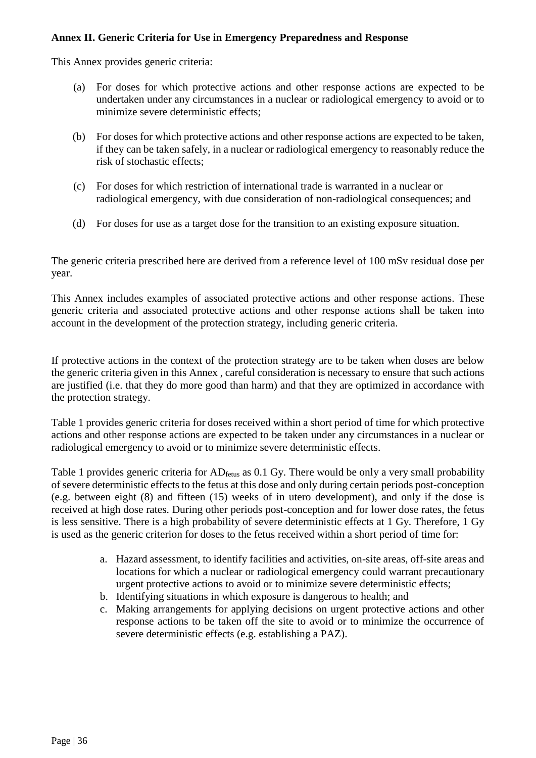### **Annex II. Generic Criteria for Use in Emergency Preparedness and Response**

This Annex provides generic criteria:

- (a) For doses for which protective actions and other response actions are expected to be undertaken under any circumstances in a nuclear or radiological emergency to avoid or to minimize severe deterministic effects;
- (b) For doses for which protective actions and other response actions are expected to be taken, if they can be taken safely, in a nuclear or radiological emergency to reasonably reduce the risk of stochastic effects;
- (c) For doses for which restriction of international trade is warranted in a nuclear or radiological emergency, with due consideration of non-radiological consequences; and
- (d) For doses for use as a target dose for the transition to an existing exposure situation.

The generic criteria prescribed here are derived from a reference level of 100 mSv residual dose per year.

This Annex includes examples of associated protective actions and other response actions. These generic criteria and associated protective actions and other response actions shall be taken into account in the development of the protection strategy, including generic criteria.

If protective actions in the context of the protection strategy are to be taken when doses are below the generic criteria given in this Annex , careful consideration is necessary to ensure that such actions are justified (i.e. that they do more good than harm) and that they are optimized in accordance with the protection strategy.

Table 1 provides generic criteria for doses received within a short period of time for which protective actions and other response actions are expected to be taken under any circumstances in a nuclear or radiological emergency to avoid or to minimize severe deterministic effects.

Table 1 provides generic criteria for AD<sub>fetus</sub> as 0.1 Gy. There would be only a very small probability of severe deterministic effects to the fetus at this dose and only during certain periods post-conception (e.g. between eight (8) and fifteen (15) weeks of in utero development), and only if the dose is received at high dose rates. During other periods post-conception and for lower dose rates, the fetus is less sensitive. There is a high probability of severe deterministic effects at 1 Gy. Therefore, 1 Gy is used as the generic criterion for doses to the fetus received within a short period of time for:

- a. Hazard assessment, to identify facilities and activities, on-site areas, off-site areas and locations for which a nuclear or radiological emergency could warrant precautionary urgent protective actions to avoid or to minimize severe deterministic effects;
- b. Identifying situations in which exposure is dangerous to health; and
- c. Making arrangements for applying decisions on urgent protective actions and other response actions to be taken off the site to avoid or to minimize the occurrence of severe deterministic effects (e.g. establishing a PAZ).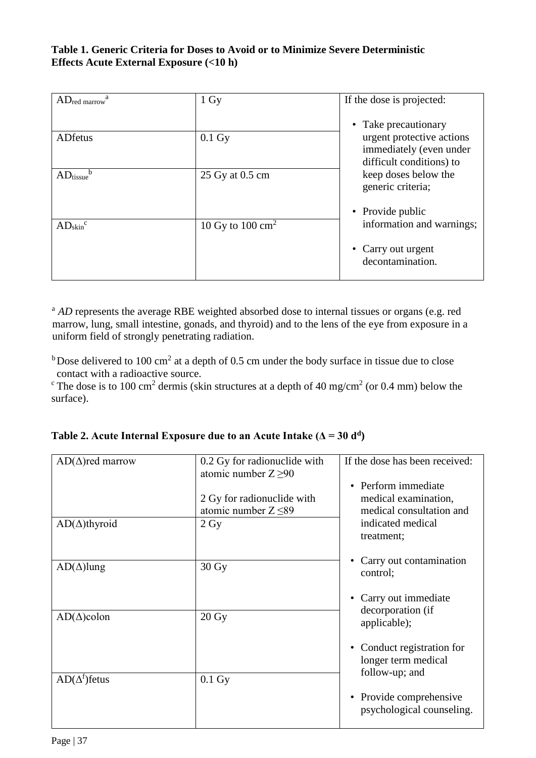### **Table 1. Generic Criteria for Doses to Avoid or to Minimize Severe Deterministic Effects Acute External Exposure (<10 h)**

| $AD_{red~marrow}^a$     | $1\,\mathrm{Gy}$           | If the dose is projected:                           |
|-------------------------|----------------------------|-----------------------------------------------------|
| <b>ADfetus</b>          | $0.1\,\mathrm{Gy}$         | • Take precautionary<br>urgent protective actions   |
|                         |                            | immediately (even under<br>difficult conditions) to |
| $ADtissue$ <sup>b</sup> | 25 Gy at 0.5 cm            | keep doses below the<br>generic criteria;           |
|                         |                            | • Provide public                                    |
| $ADskin$ <sup>c</sup>   | 10 Gy to 100 $\text{cm}^2$ | information and warnings;                           |
|                         |                            | • Carry out urgent<br>decontamination.              |

<sup>a</sup> *AD* represents the average RBE weighted absorbed dose to internal tissues or organs (e.g. red marrow, lung, small intestine, gonads, and thyroid) and to the lens of the eye from exposure in a uniform field of strongly penetrating radiation.

 $b$  Dose delivered to 100 cm<sup>2</sup> at a depth of 0.5 cm under the body surface in tissue due to close contact with a radioactive source.

<sup>c</sup> The dose is to 100 cm<sup>2</sup> dermis (skin structures at a depth of 40 mg/cm<sup>2</sup> (or 0.4 mm) below the surface).

|  |  | Table 2. Acute Internal Exposure due to an Acute Intake ( $\Delta = 30$ d <sup>d</sup> ) |
|--|--|------------------------------------------------------------------------------------------|
|--|--|------------------------------------------------------------------------------------------|

| $AD(\Delta)$ red marrow | 0.2 Gy for radionuclide with<br>atomic number $Z \geq 90$ | If the dose has been received:                                        |
|-------------------------|-----------------------------------------------------------|-----------------------------------------------------------------------|
|                         | 2 Gy for radionuclide with<br>atomic number $Z \leq 89$   | Perform immediate<br>medical examination,<br>medical consultation and |
| $AD(\Delta)$ thyroid    | 2 Gy                                                      | indicated medical<br>treatment;                                       |
| $AD(\Delta)$ lung       | $30 \text{ Gy}$                                           | Carry out contamination<br>control;                                   |
| $AD(\triangle)$ colon   | $20 \text{ Gy}$                                           | Carry out immediate<br>decorporation (if<br>applicable);              |
|                         |                                                           | Conduct registration for<br>longer term medical<br>follow-up; and     |
| $AD(\Delta^f)$ fetus    | $0.1\,\mathrm{Gy}$                                        | Provide comprehensive<br>psychological counseling.                    |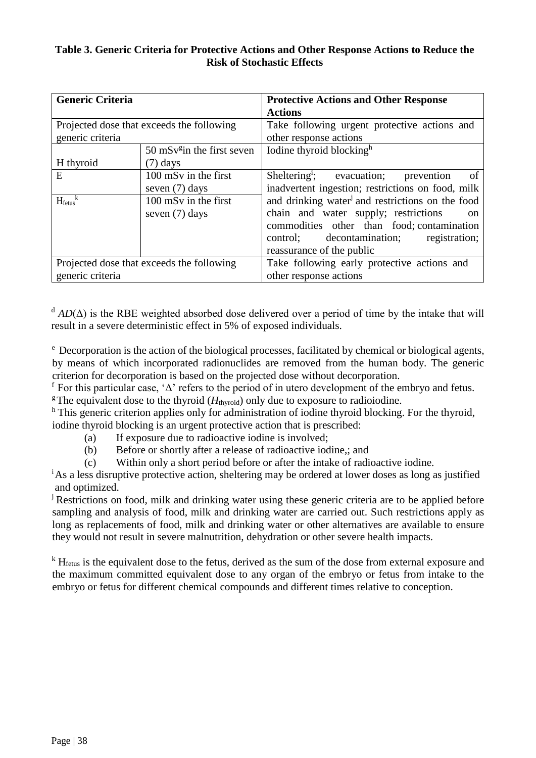### **Table 3. Generic Criteria for Protective Actions and Other Response Actions to Reduce the Risk of Stochastic Effects**

| <b>Generic Criteria</b>                   |                                                  | <b>Protective Actions and Other Response</b>                 |  |
|-------------------------------------------|--------------------------------------------------|--------------------------------------------------------------|--|
|                                           |                                                  | <b>Actions</b>                                               |  |
|                                           | Projected dose that exceeds the following        | Take following urgent protective actions and                 |  |
| generic criteria                          |                                                  | other response actions                                       |  |
|                                           | $50 \text{ mSv}$ <sup>g</sup> in the first seven | Iodine thyroid blocking <sup>h</sup>                         |  |
| H thyroid                                 | $(7)$ days                                       |                                                              |  |
| E                                         | 100 mSv in the first                             | Sheltering <sup>i</sup> ; evacuation;<br>prevention<br>of of |  |
|                                           | seven (7) days                                   | inadvertent ingestion; restrictions on food, milk            |  |
| $H_{\text{fetus}}^{\text{k}}$             | 100 mSv in the first                             | and drinking water <sup>j</sup> and restrictions on the food |  |
|                                           | seven (7) days                                   | chain and water supply; restrictions<br><sub>on</sub>        |  |
|                                           |                                                  | commodities other than food; contamination                   |  |
|                                           |                                                  | control; decontamination; registration;                      |  |
|                                           |                                                  | reassurance of the public                                    |  |
| Projected dose that exceeds the following |                                                  | Take following early protective actions and                  |  |
| generic criteria                          |                                                  | other response actions                                       |  |

 $d$  *AD*( $\Delta$ ) is the RBE weighted absorbed dose delivered over a period of time by the intake that will result in a severe deterministic effect in 5% of exposed individuals.

<sup>e</sup> Decorporation is the action of the biological processes, facilitated by chemical or biological agents, by means of which incorporated radionuclides are removed from the human body. The generic criterion for decorporation is based on the projected dose without decorporation.

<sup>f</sup> For this particular case, ' $\Delta$ ' refers to the period of in utero development of the embryo and fetus. <sup>g</sup>The equivalent dose to the thyroid  $(H_{\text{thvroid}})$  only due to exposure to radioiodine.

h This generic criterion applies only for administration of iodine thyroid blocking. For the thyroid, iodine thyroid blocking is an urgent protective action that is prescribed:

- (a) If exposure due to radioactive iodine is involved;
- (b) Before or shortly after a release of radioactive iodine,; and
- (c) Within only a short period before or after the intake of radioactive iodine.

<sup>i</sup>As a less disruptive protective action, sheltering may be ordered at lower doses as long as justified and optimized.

<sup>j</sup> Restrictions on food, milk and drinking water using these generic criteria are to be applied before sampling and analysis of food, milk and drinking water are carried out. Such restrictions apply as long as replacements of food, milk and drinking water or other alternatives are available to ensure they would not result in severe malnutrition, dehydration or other severe health impacts.

 $k$  H<sub>fetus</sub> is the equivalent dose to the fetus, derived as the sum of the dose from external exposure and the maximum committed equivalent dose to any organ of the embryo or fetus from intake to the embryo or fetus for different chemical compounds and different times relative to conception.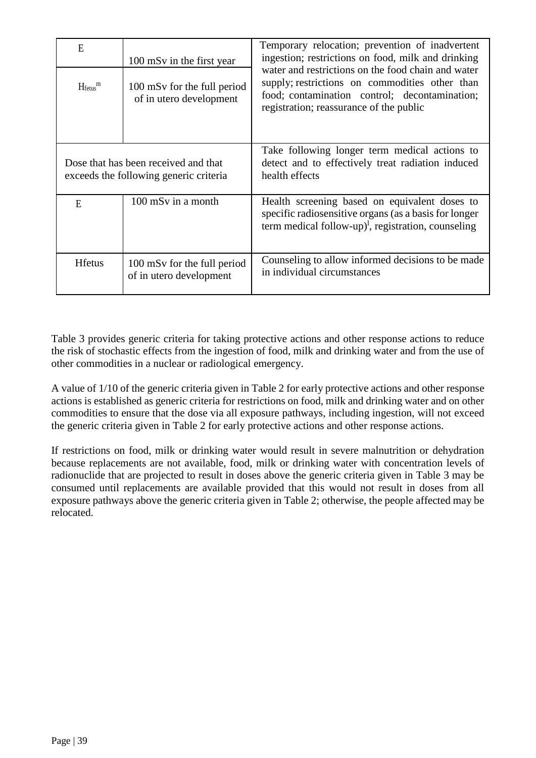| E<br>$H_{\text{fetus}}^{\text{m}}$ | 100 mSv in the first year<br>100 mSv for the full period<br>of in utero development | Temporary relocation; prevention of inadvertent<br>ingestion; restrictions on food, milk and drinking<br>water and restrictions on the food chain and water<br>supply; restrictions on commodities other than<br>food; contamination control; decontamination;<br>registration; reassurance of the public |
|------------------------------------|-------------------------------------------------------------------------------------|-----------------------------------------------------------------------------------------------------------------------------------------------------------------------------------------------------------------------------------------------------------------------------------------------------------|
|                                    | Dose that has been received and that<br>exceeds the following generic criteria      | Take following longer term medical actions to<br>detect and to effectively treat radiation induced<br>health effects                                                                                                                                                                                      |
| E                                  | 100 mSv in a month                                                                  | Health screening based on equivalent doses to<br>specific radiosensitive organs (as a basis for longer<br>term medical follow-up) <sup>1</sup> , registration, counseling                                                                                                                                 |
| <b>H</b> fetus                     | 100 mSv for the full period<br>of in utero development                              | Counseling to allow informed decisions to be made<br>in individual circumstances                                                                                                                                                                                                                          |

Table 3 provides generic criteria for taking protective actions and other response actions to reduce the risk of stochastic effects from the ingestion of food, milk and drinking water and from the use of other commodities in a nuclear or radiological emergency.

A value of 1/10 of the generic criteria given in Table 2 for early protective actions and other response actions is established as generic criteria for restrictions on food, milk and drinking water and on other commodities to ensure that the dose via all exposure pathways, including ingestion, will not exceed the generic criteria given in Table 2 for early protective actions and other response actions.

If restrictions on food, milk or drinking water would result in severe malnutrition or dehydration because replacements are not available, food, milk or drinking water with concentration levels of radionuclide that are projected to result in doses above the generic criteria given in Table 3 may be consumed until replacements are available provided that this would not result in doses from all exposure pathways above the generic criteria given in Table 2; otherwise, the people affected may be relocated.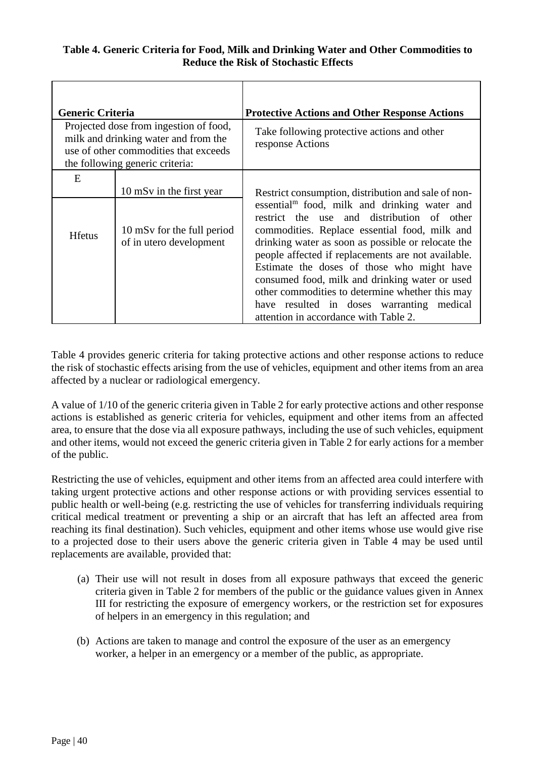### **Table 4. Generic Criteria for Food, Milk and Drinking Water and Other Commodities to Reduce the Risk of Stochastic Effects**

| <b>Generic Criteria</b> |                                                                                                                                                            | <b>Protective Actions and Other Response Actions</b>                                                                                                                                                                                                                                                                                                                                                                                                                                                         |
|-------------------------|------------------------------------------------------------------------------------------------------------------------------------------------------------|--------------------------------------------------------------------------------------------------------------------------------------------------------------------------------------------------------------------------------------------------------------------------------------------------------------------------------------------------------------------------------------------------------------------------------------------------------------------------------------------------------------|
|                         | Projected dose from ingestion of food,<br>milk and drinking water and from the<br>use of other commodities that exceeds<br>the following generic criteria: | Take following protective actions and other<br>response Actions                                                                                                                                                                                                                                                                                                                                                                                                                                              |
| E                       |                                                                                                                                                            |                                                                                                                                                                                                                                                                                                                                                                                                                                                                                                              |
|                         | 10 mSv in the first year                                                                                                                                   | Restrict consumption, distribution and sale of non-                                                                                                                                                                                                                                                                                                                                                                                                                                                          |
| <b>H</b> fetus          | 10 mSv for the full period<br>of in utero development                                                                                                      | essential <sup>m</sup> food, milk and drinking water and<br>restrict the use and distribution of other<br>commodities. Replace essential food, milk and<br>drinking water as soon as possible or relocate the<br>people affected if replacements are not available.<br>Estimate the doses of those who might have<br>consumed food, milk and drinking water or used<br>other commodities to determine whether this may<br>have resulted in doses warranting medical<br>attention in accordance with Table 2. |

Table 4 provides generic criteria for taking protective actions and other response actions to reduce the risk of stochastic effects arising from the use of vehicles, equipment and other items from an area affected by a nuclear or radiological emergency.

A value of 1/10 of the generic criteria given in Table 2 for early protective actions and other response actions is established as generic criteria for vehicles, equipment and other items from an affected area, to ensure that the dose via all exposure pathways, including the use of such vehicles, equipment and other items, would not exceed the generic criteria given in Table 2 for early actions for a member of the public.

Restricting the use of vehicles, equipment and other items from an affected area could interfere with taking urgent protective actions and other response actions or with providing services essential to public health or well-being (e.g. restricting the use of vehicles for transferring individuals requiring critical medical treatment or preventing a ship or an aircraft that has left an affected area from reaching its final destination). Such vehicles, equipment and other items whose use would give rise to a projected dose to their users above the generic criteria given in Table 4 may be used until replacements are available, provided that:

- (a) Their use will not result in doses from all exposure pathways that exceed the generic criteria given in Table 2 for members of the public or the guidance values given in Annex III for restricting the exposure of emergency workers, or the restriction set for exposures of helpers in an emergency in this regulation; and
- (b) Actions are taken to manage and control the exposure of the user as an emergency worker, a helper in an emergency or a member of the public, as appropriate.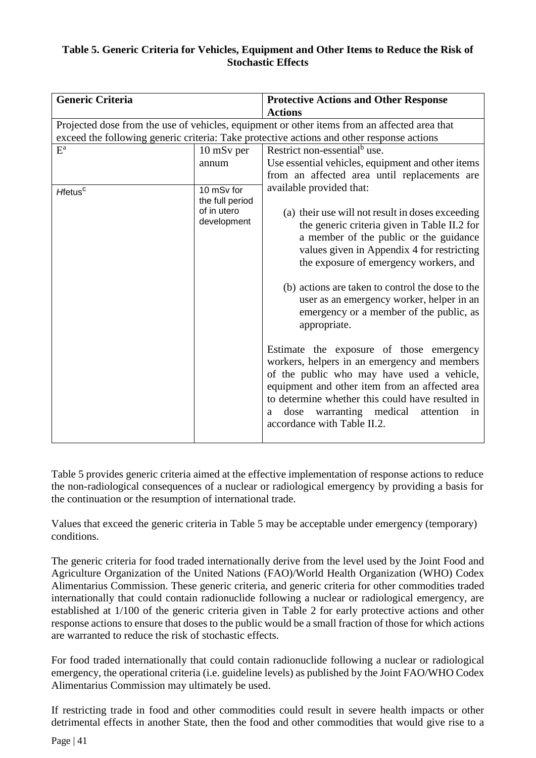### **Table 5. Generic Criteria for Vehicles, Equipment and Other Items to Reduce the Risk of Stochastic Effects**

| <b>Generic Criteria</b>                                                                      |                 | <b>Protective Actions and Other Response</b>                                              |  |  |  |
|----------------------------------------------------------------------------------------------|-----------------|-------------------------------------------------------------------------------------------|--|--|--|
|                                                                                              |                 | <b>Actions</b>                                                                            |  |  |  |
| Projected dose from the use of vehicles, equipment or other items from an affected area that |                 |                                                                                           |  |  |  |
|                                                                                              |                 | exceed the following generic criteria: Take protective actions and other response actions |  |  |  |
| $E^a$                                                                                        | 10 mSv per      | Restrict non-essential <sup>b</sup> use.                                                  |  |  |  |
|                                                                                              | annum           | Use essential vehicles, equipment and other items                                         |  |  |  |
|                                                                                              |                 | from an affected area until replacements are                                              |  |  |  |
| $H$ fetus $c$                                                                                | 10 mSv for      | available provided that:                                                                  |  |  |  |
|                                                                                              | the full period |                                                                                           |  |  |  |
|                                                                                              | of in utero     | (a) their use will not result in doses exceeding                                          |  |  |  |
|                                                                                              | development     | the generic criteria given in Table II.2 for                                              |  |  |  |
|                                                                                              |                 | a member of the public or the guidance                                                    |  |  |  |
|                                                                                              |                 | values given in Appendix 4 for restricting                                                |  |  |  |
|                                                                                              |                 | the exposure of emergency workers, and                                                    |  |  |  |
|                                                                                              |                 |                                                                                           |  |  |  |
|                                                                                              |                 | (b) actions are taken to control the dose to the                                          |  |  |  |
|                                                                                              |                 | user as an emergency worker, helper in an                                                 |  |  |  |
|                                                                                              |                 | emergency or a member of the public, as                                                   |  |  |  |
|                                                                                              |                 | appropriate.                                                                              |  |  |  |
|                                                                                              |                 |                                                                                           |  |  |  |
|                                                                                              |                 | Estimate the exposure of those emergency                                                  |  |  |  |
|                                                                                              |                 | workers, helpers in an emergency and members                                              |  |  |  |
|                                                                                              |                 | of the public who may have used a vehicle,                                                |  |  |  |
|                                                                                              |                 | equipment and other item from an affected area                                            |  |  |  |
|                                                                                              |                 | to determine whether this could have resulted in                                          |  |  |  |
|                                                                                              |                 | dose warranting medical<br>attention<br>in<br>a                                           |  |  |  |
|                                                                                              |                 | accordance with Table II.2.                                                               |  |  |  |
|                                                                                              |                 |                                                                                           |  |  |  |

Table 5 provides generic criteria aimed at the effective implementation of response actions to reduce the non-radiological consequences of a nuclear or radiological emergency by providing a basis for the continuation or the resumption of international trade.

Values that exceed the generic criteria in Table 5 may be acceptable under emergency (temporary) conditions.

The generic criteria for food traded internationally derive from the level used by the Joint Food and Agriculture Organization of the United Nations (FAO)/World Health Organization (WHO) Codex Alimentarius Commission. These generic criteria, and generic criteria for other commodities traded internationally that could contain radionuclide following a nuclear or radiological emergency, are established at 1/100 of the generic criteria given in Table 2 for early protective actions and other response actions to ensure that doses to the public would be a small fraction of those for which actions are warranted to reduce the risk of stochastic effects.

For food traded internationally that could contain radionuclide following a nuclear or radiological emergency, the operational criteria (i.e. guideline levels) as published by the Joint FAO/WHO Codex Alimentarius Commission may ultimately be used.

If restricting trade in food and other commodities could result in severe health impacts or other detrimental effects in another State, then the food and other commodities that would give rise to a

Page  $|41$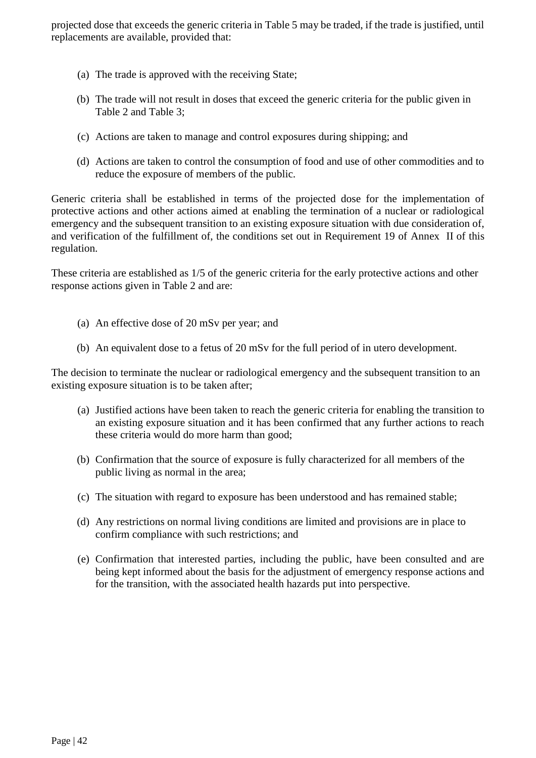projected dose that exceeds the generic criteria in Table 5 may be traded, if the trade is justified, until replacements are available, provided that:

- (a) The trade is approved with the receiving State;
- (b) The trade will not result in doses that exceed the generic criteria for the public given in Table 2 and Table 3;
- (c) Actions are taken to manage and control exposures during shipping; and
- (d) Actions are taken to control the consumption of food and use of other commodities and to reduce the exposure of members of the public.

Generic criteria shall be established in terms of the projected dose for the implementation of protective actions and other actions aimed at enabling the termination of a nuclear or radiological emergency and the subsequent transition to an existing exposure situation with due consideration of, and verification of the fulfillment of, the conditions set out in Requirement 19 of Annex II of this regulation.

These criteria are established as 1/5 of the generic criteria for the early protective actions and other response actions given in Table 2 and are:

- (a) An effective dose of 20 mSv per year; and
- (b) An equivalent dose to a fetus of 20 mSv for the full period of in utero development.

The decision to terminate the nuclear or radiological emergency and the subsequent transition to an existing exposure situation is to be taken after;

- (a) Justified actions have been taken to reach the generic criteria for enabling the transition to an existing exposure situation and it has been confirmed that any further actions to reach these criteria would do more harm than good;
- (b) Confirmation that the source of exposure is fully characterized for all members of the public living as normal in the area;
- (c) The situation with regard to exposure has been understood and has remained stable;
- (d) Any restrictions on normal living conditions are limited and provisions are in place to confirm compliance with such restrictions; and
- (e) Confirmation that interested parties, including the public, have been consulted and are being kept informed about the basis for the adjustment of emergency response actions and for the transition, with the associated health hazards put into perspective.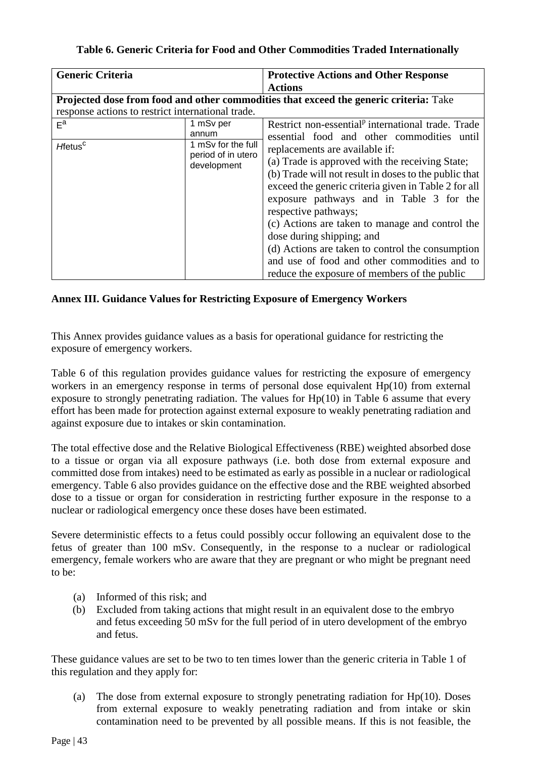|  |  |  | Table 6. Generic Criteria for Food and Other Commodities Traded Internationally |
|--|--|--|---------------------------------------------------------------------------------|
|  |  |  |                                                                                 |

| <b>Generic Criteria</b>                           |                                                         | <b>Protective Actions and Other Response</b>                                                                                                                                                                                                                                                                                                                                                                                                                                                               |
|---------------------------------------------------|---------------------------------------------------------|------------------------------------------------------------------------------------------------------------------------------------------------------------------------------------------------------------------------------------------------------------------------------------------------------------------------------------------------------------------------------------------------------------------------------------------------------------------------------------------------------------|
|                                                   |                                                         | <b>Actions</b>                                                                                                                                                                                                                                                                                                                                                                                                                                                                                             |
|                                                   |                                                         | Projected dose from food and other commodities that exceed the generic criteria: Take                                                                                                                                                                                                                                                                                                                                                                                                                      |
| response actions to restrict international trade. |                                                         |                                                                                                                                                                                                                                                                                                                                                                                                                                                                                                            |
| $E^a$                                             | 1 mSv per<br>annum                                      | Restrict non-essential <sup>p</sup> international trade. Trade<br>essential food and other commodities until                                                                                                                                                                                                                                                                                                                                                                                               |
| <b>H</b> etus <sup>c</sup>                        | 1 mSv for the full<br>period of in utero<br>development | replacements are available if:<br>(a) Trade is approved with the receiving State;<br>(b) Trade will not result in doses to the public that<br>exceed the generic criteria given in Table 2 for all<br>exposure pathways and in Table 3 for the<br>respective pathways;<br>(c) Actions are taken to manage and control the<br>dose during shipping; and<br>(d) Actions are taken to control the consumption<br>and use of food and other commodities and to<br>reduce the exposure of members of the public |

### **Annex III. Guidance Values for Restricting Exposure of Emergency Workers**

This Annex provides guidance values as a basis for operational guidance for restricting the exposure of emergency workers.

Table 6 of this regulation provides guidance values for restricting the exposure of emergency workers in an emergency response in terms of personal dose equivalent Hp(10) from external exposure to strongly penetrating radiation. The values for  $Hp(10)$  in Table 6 assume that every effort has been made for protection against external exposure to weakly penetrating radiation and against exposure due to intakes or skin contamination.

The total effective dose and the Relative Biological Effectiveness (RBE) weighted absorbed dose to a tissue or organ via all exposure pathways (i.e. both dose from external exposure and committed dose from intakes) need to be estimated as early as possible in a nuclear or radiological emergency. Table 6 also provides guidance on the effective dose and the RBE weighted absorbed dose to a tissue or organ for consideration in restricting further exposure in the response to a nuclear or radiological emergency once these doses have been estimated.

Severe deterministic effects to a fetus could possibly occur following an equivalent dose to the fetus of greater than 100 mSv. Consequently, in the response to a nuclear or radiological emergency, female workers who are aware that they are pregnant or who might be pregnant need to be:

- (a) Informed of this risk; and
- (b) Excluded from taking actions that might result in an equivalent dose to the embryo and fetus exceeding 50 mSv for the full period of in utero development of the embryo and fetus.

These guidance values are set to be two to ten times lower than the generic criteria in Table 1 of this regulation and they apply for:

(a) The dose from external exposure to strongly penetrating radiation for  $Hp(10)$ . Doses from external exposure to weakly penetrating radiation and from intake or skin contamination need to be prevented by all possible means. If this is not feasible, the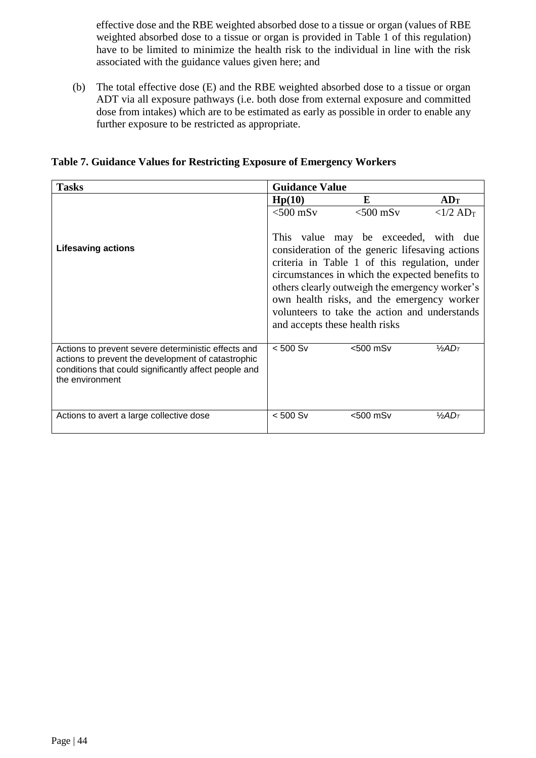effective dose and the RBE weighted absorbed dose to a tissue or organ (values of RBE weighted absorbed dose to a tissue or organ is provided in Table 1 of this regulation) have to be limited to minimize the health risk to the individual in line with the risk associated with the guidance values given here; and

(b) The total effective dose (E) and the RBE weighted absorbed dose to a tissue or organ ADT via all exposure pathways (i.e. both dose from external exposure and committed dose from intakes) which are to be estimated as early as possible in order to enable any further exposure to be restricted as appropriate.

**Table 7. Guidance Values for Restricting Exposure of Emergency Workers**

| <b>Tasks</b>                                                                                                                                                                          | <b>Guidance Value</b> |                                                                                                                                                                                                                                                                                                                                                                                |                        |
|---------------------------------------------------------------------------------------------------------------------------------------------------------------------------------------|-----------------------|--------------------------------------------------------------------------------------------------------------------------------------------------------------------------------------------------------------------------------------------------------------------------------------------------------------------------------------------------------------------------------|------------------------|
|                                                                                                                                                                                       | Hp(10)                | E                                                                                                                                                                                                                                                                                                                                                                              | $AD_T$                 |
|                                                                                                                                                                                       | $<$ 500 mSv           | $<$ 500 mSv                                                                                                                                                                                                                                                                                                                                                                    | $<1/2$ AD <sub>T</sub> |
| <b>Lifesaving actions</b>                                                                                                                                                             |                       | This value may be exceeded, with due<br>consideration of the generic lifesaving actions<br>criteria in Table 1 of this regulation, under<br>circumstances in which the expected benefits to<br>others clearly outweigh the emergency worker's<br>own health risks, and the emergency worker<br>volunteers to take the action and understands<br>and accepts these health risks |                        |
| Actions to prevent severe deterministic effects and<br>actions to prevent the development of catastrophic<br>conditions that could significantly affect people and<br>the environment | $< 500$ Sv            | $<$ 500 $mSv$                                                                                                                                                                                                                                                                                                                                                                  | $\frac{1}{2}ADT$       |
| Actions to avert a large collective dose                                                                                                                                              | $< 500$ Sv            | <500 mSv                                                                                                                                                                                                                                                                                                                                                                       | $\frac{1}{2}AD$        |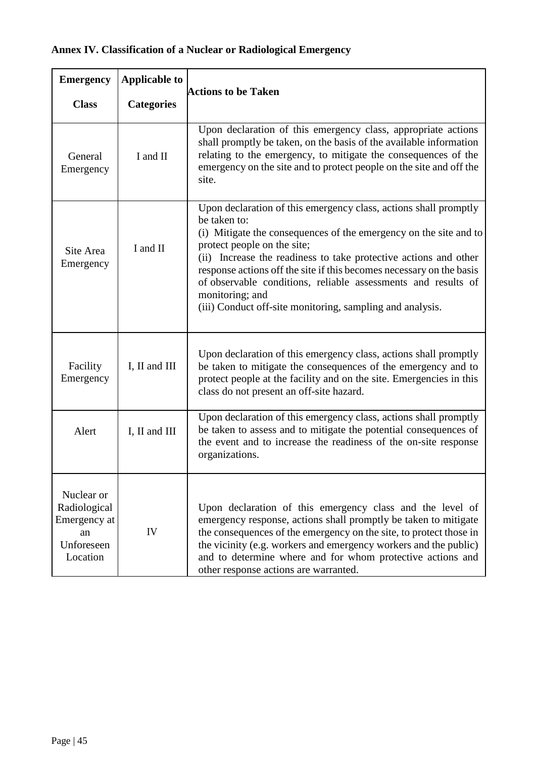| <b>Emergency</b>                                                           | <b>Applicable to</b> | <b>Actions to be Taken</b>                                                                                                                                                                                                                                                                                                                                                                                                                                                        |  |
|----------------------------------------------------------------------------|----------------------|-----------------------------------------------------------------------------------------------------------------------------------------------------------------------------------------------------------------------------------------------------------------------------------------------------------------------------------------------------------------------------------------------------------------------------------------------------------------------------------|--|
| <b>Class</b>                                                               | <b>Categories</b>    |                                                                                                                                                                                                                                                                                                                                                                                                                                                                                   |  |
| General<br>Emergency                                                       | I and II             | Upon declaration of this emergency class, appropriate actions<br>shall promptly be taken, on the basis of the available information<br>relating to the emergency, to mitigate the consequences of the<br>emergency on the site and to protect people on the site and off the<br>site.                                                                                                                                                                                             |  |
| Site Area<br>Emergency                                                     | I and II             | Upon declaration of this emergency class, actions shall promptly<br>be taken to:<br>(i) Mitigate the consequences of the emergency on the site and to<br>protect people on the site;<br>(ii) Increase the readiness to take protective actions and other<br>response actions off the site if this becomes necessary on the basis<br>of observable conditions, reliable assessments and results of<br>monitoring; and<br>(iii) Conduct off-site monitoring, sampling and analysis. |  |
| Facility<br>Emergency                                                      | I, II and III        | Upon declaration of this emergency class, actions shall promptly<br>be taken to mitigate the consequences of the emergency and to<br>protect people at the facility and on the site. Emergencies in this<br>class do not present an off-site hazard.                                                                                                                                                                                                                              |  |
| Alert                                                                      | I, II and III        | Upon declaration of this emergency class, actions shall promptly<br>be taken to assess and to mitigate the potential consequences of<br>the event and to increase the readiness of the on-site response<br>organizations.                                                                                                                                                                                                                                                         |  |
| Nuclear or<br>Radiological<br>Emergency at<br>an<br>Unforeseen<br>Location | IV                   | Upon declaration of this emergency class and the level of<br>emergency response, actions shall promptly be taken to mitigate<br>the consequences of the emergency on the site, to protect those in<br>the vicinity (e.g. workers and emergency workers and the public)<br>and to determine where and for whom protective actions and<br>other response actions are warranted.                                                                                                     |  |

# **Annex IV. Classification of a Nuclear or Radiological Emergency**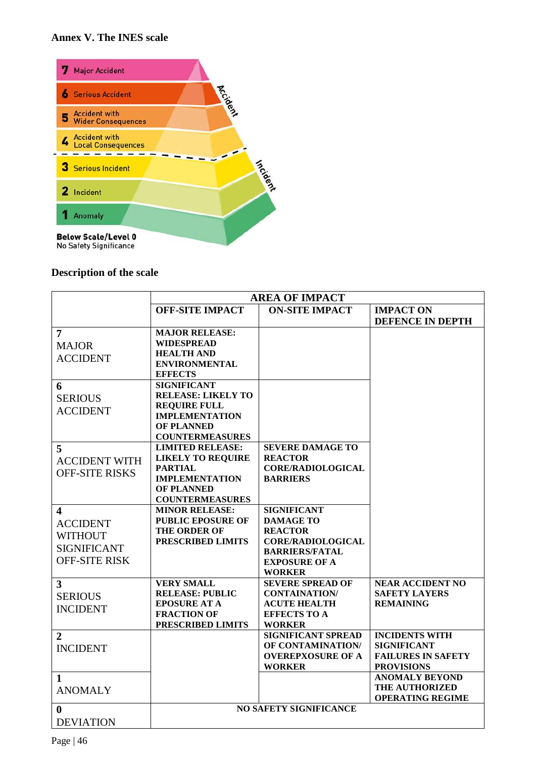### **Annex V. The INES scale**



### **Description of the scale**

|                                                                                      | <b>AREA OF IMPACT</b>                                                                                                                          |                                                                                                                                                        |                                                                                               |  |
|--------------------------------------------------------------------------------------|------------------------------------------------------------------------------------------------------------------------------------------------|--------------------------------------------------------------------------------------------------------------------------------------------------------|-----------------------------------------------------------------------------------------------|--|
|                                                                                      | <b>OFF-SITE IMPACT</b>                                                                                                                         | <b>ON-SITE IMPACT</b>                                                                                                                                  | <b>IMPACT ON</b>                                                                              |  |
|                                                                                      |                                                                                                                                                |                                                                                                                                                        | DEFENCE IN DEPTH                                                                              |  |
| $\overline{7}$<br><b>MAJOR</b><br><b>ACCIDENT</b>                                    | <b>MAJOR RELEASE:</b><br><b>WIDESPREAD</b><br><b>HEALTH AND</b><br><b>ENVIRONMENTAL</b><br><b>EFFECTS</b>                                      |                                                                                                                                                        |                                                                                               |  |
| 6<br><b>SERIOUS</b><br><b>ACCIDENT</b>                                               | <b>SIGNIFICANT</b><br><b>RELEASE: LIKELY TO</b><br><b>REQUIRE FULL</b><br><b>IMPLEMENTATION</b><br><b>OF PLANNED</b><br><b>COUNTERMEASURES</b> |                                                                                                                                                        |                                                                                               |  |
| 5<br><b>ACCIDENT WITH</b><br><b>OFF-SITE RISKS</b>                                   | <b>LIMITED RELEASE:</b><br><b>LIKELY TO REQUIRE</b><br><b>PARTIAL</b><br><b>IMPLEMENTATION</b><br>OF PLANNED<br><b>COUNTERMEASURES</b>         | <b>SEVERE DAMAGE TO</b><br><b>REACTOR</b><br><b>CORE/RADIOLOGICAL</b><br><b>BARRIERS</b>                                                               |                                                                                               |  |
| 4<br><b>ACCIDENT</b><br><b>WITHOUT</b><br><b>SIGNIFICANT</b><br><b>OFF-SITE RISK</b> | <b>MINOR RELEASE:</b><br><b>PUBLIC EPOSURE OF</b><br>THE ORDER OF<br>PRESCRIBED LIMITS                                                         | <b>SIGNIFICANT</b><br><b>DAMAGE TO</b><br><b>REACTOR</b><br><b>CORE/RADIOLOGICAL</b><br><b>BARRIERS/FATAL</b><br><b>EXPOSURE OF A</b><br><b>WORKER</b> |                                                                                               |  |
| $\overline{3}$<br><b>SERIOUS</b><br><b>INCIDENT</b>                                  | <b>VERY SMALL</b><br><b>RELEASE: PUBLIC</b><br><b>EPOSURE AT A</b><br><b>FRACTION OF</b><br>PRESCRIBED LIMITS                                  | <b>SEVERE SPREAD OF</b><br><b>CONTAINATION/</b><br><b>ACUTE HEALTH</b><br><b>EFFECTS TO A</b><br><b>WORKER</b>                                         | <b>NEAR ACCIDENT NO</b><br><b>SAFETY LAYERS</b><br><b>REMAINING</b>                           |  |
| 2<br><b>INCIDENT</b>                                                                 |                                                                                                                                                | <b>SIGNIFICANT SPREAD</b><br>OF CONTAMINATION/<br><b>OVEREPXOSURE OF A</b><br><b>WORKER</b>                                                            | <b>INCIDENTS WITH</b><br><b>SIGNIFICANT</b><br><b>FAILURES IN SAFETY</b><br><b>PROVISIONS</b> |  |
| $\mathbf{1}$<br><b>ANOMALY</b>                                                       |                                                                                                                                                |                                                                                                                                                        | <b>ANOMALY BEYOND</b><br><b>THE AUTHORIZED</b><br><b>OPERATING REGIME</b>                     |  |
| 0                                                                                    |                                                                                                                                                | <b>NO SAFETY SIGNIFICANCE</b>                                                                                                                          |                                                                                               |  |
| <b>DEVIATION</b>                                                                     |                                                                                                                                                |                                                                                                                                                        |                                                                                               |  |

Page | 46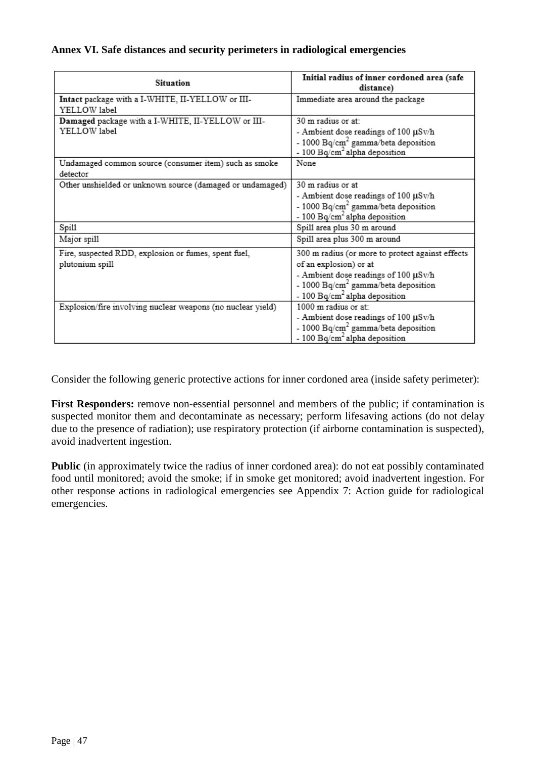### **Annex VI. Safe distances and security perimeters in radiological emergencies**

| <b>Situation</b>                                                        | Initial radius of inner cordoned area (safe<br>distance)                                                                                                                                                           |  |
|-------------------------------------------------------------------------|--------------------------------------------------------------------------------------------------------------------------------------------------------------------------------------------------------------------|--|
| Intact package with a I-WHITE, II-YELLOW or III-<br>YELLOW label        | Immediate area around the package                                                                                                                                                                                  |  |
| Damaged package with a I-WHITE, II-YELLOW or III-<br>YELLOW label       | 30 m radius or at:<br>- Ambient dose readings of 100 µSv/h<br>- 1000 Bq/cm <sup>2</sup> gamma/beta deposition<br>- 100 Bq/cm <sup>2</sup> alpha deposition                                                         |  |
| Undamaged common source (consumer item) such as smoke<br>detector       | None                                                                                                                                                                                                               |  |
| Other unshielded or unknown source (damaged or undamaged)               | 30 m radius or at<br>- Ambient dose readings of 100 µSv/h<br>- 1000 Bq/cm <sup>2</sup> gamma/beta deposition<br>- 100 Bq/cm <sup>2</sup> alpha deposition                                                          |  |
| Spill                                                                   | Spill area plus 30 m around                                                                                                                                                                                        |  |
| Major spill                                                             | Spill area plus 300 m around                                                                                                                                                                                       |  |
| Fire, suspected RDD, explosion or fumes, spent fuel,<br>plutonium spill | 300 m radius (or more to protect against effects<br>of an explosion) or at<br>- Ambient dose readings of 100 µSv/h<br>- 1000 Bq/cm <sup>2</sup> gamma/beta deposition<br>- 100 Bq/cm <sup>2</sup> alpha deposition |  |
| Explosion/fire involving nuclear weapons (no nuclear yield)             | 1000 m radius or at:<br>- Ambient dose readings of 100 µSv/h<br>- 1000 $Bq/cm2$ gamma/beta deposition<br>- 100 Bq/cm <sup>2</sup> alpha deposition                                                                 |  |

Consider the following generic protective actions for inner cordoned area (inside safety perimeter):

**First Responders:** remove non-essential personnel and members of the public; if contamination is suspected monitor them and decontaminate as necessary; perform lifesaving actions (do not delay due to the presence of radiation); use respiratory protection (if airborne contamination is suspected), avoid inadvertent ingestion.

**Public** (in approximately twice the radius of inner cordoned area): do not eat possibly contaminated food until monitored; avoid the smoke; if in smoke get monitored; avoid inadvertent ingestion. For other response actions in radiological emergencies see Appendix 7: Action guide for radiological emergencies.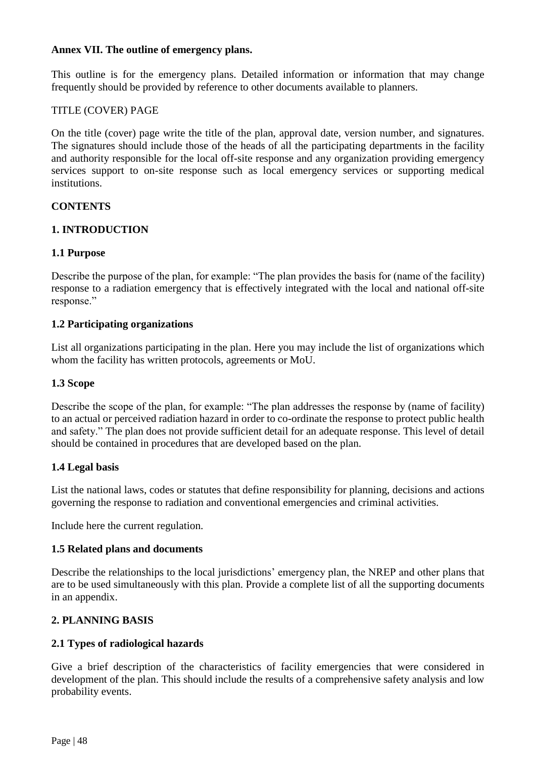#### **Annex VII. The outline of emergency plans.**

This outline is for the emergency plans. Detailed information or information that may change frequently should be provided by reference to other documents available to planners.

#### TITLE (COVER) PAGE

On the title (cover) page write the title of the plan, approval date, version number, and signatures. The signatures should include those of the heads of all the participating departments in the facility and authority responsible for the local off-site response and any organization providing emergency services support to on-site response such as local emergency services or supporting medical institutions.

### **CONTENTS**

### **1. INTRODUCTION**

#### **1.1 Purpose**

Describe the purpose of the plan, for example: "The plan provides the basis for (name of the facility) response to a radiation emergency that is effectively integrated with the local and national off-site response."

#### **1.2 Participating organizations**

List all organizations participating in the plan. Here you may include the list of organizations which whom the facility has written protocols, agreements or MoU.

#### **1.3 Scope**

Describe the scope of the plan, for example: "The plan addresses the response by (name of facility) to an actual or perceived radiation hazard in order to co-ordinate the response to protect public health and safety." The plan does not provide sufficient detail for an adequate response. This level of detail should be contained in procedures that are developed based on the plan.

#### **1.4 Legal basis**

List the national laws, codes or statutes that define responsibility for planning, decisions and actions governing the response to radiation and conventional emergencies and criminal activities.

Include here the current regulation.

#### **1.5 Related plans and documents**

Describe the relationships to the local jurisdictions' emergency plan, the NREP and other plans that are to be used simultaneously with this plan. Provide a complete list of all the supporting documents in an appendix.

### **2. PLANNING BASIS**

#### **2.1 Types of radiological hazards**

Give a brief description of the characteristics of facility emergencies that were considered in development of the plan. This should include the results of a comprehensive safety analysis and low probability events.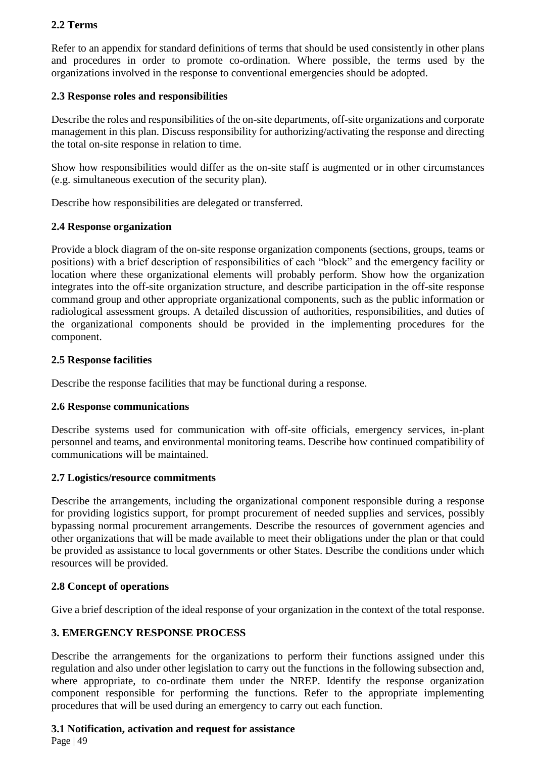### **2.2 Terms**

Refer to an appendix for standard definitions of terms that should be used consistently in other plans and procedures in order to promote co-ordination. Where possible, the terms used by the organizations involved in the response to conventional emergencies should be adopted.

#### **2.3 Response roles and responsibilities**

Describe the roles and responsibilities of the on-site departments, off-site organizations and corporate management in this plan. Discuss responsibility for authorizing/activating the response and directing the total on-site response in relation to time.

Show how responsibilities would differ as the on-site staff is augmented or in other circumstances (e.g. simultaneous execution of the security plan).

Describe how responsibilities are delegated or transferred.

#### **2.4 Response organization**

Provide a block diagram of the on-site response organization components (sections, groups, teams or positions) with a brief description of responsibilities of each "block" and the emergency facility or location where these organizational elements will probably perform. Show how the organization integrates into the off-site organization structure, and describe participation in the off-site response command group and other appropriate organizational components, such as the public information or radiological assessment groups. A detailed discussion of authorities, responsibilities, and duties of the organizational components should be provided in the implementing procedures for the component.

### **2.5 Response facilities**

Describe the response facilities that may be functional during a response.

#### **2.6 Response communications**

Describe systems used for communication with off-site officials, emergency services, in-plant personnel and teams, and environmental monitoring teams. Describe how continued compatibility of communications will be maintained.

#### **2.7 Logistics/resource commitments**

Describe the arrangements, including the organizational component responsible during a response for providing logistics support, for prompt procurement of needed supplies and services, possibly bypassing normal procurement arrangements. Describe the resources of government agencies and other organizations that will be made available to meet their obligations under the plan or that could be provided as assistance to local governments or other States. Describe the conditions under which resources will be provided.

### **2.8 Concept of operations**

Give a brief description of the ideal response of your organization in the context of the total response.

### **3. EMERGENCY RESPONSE PROCESS**

Describe the arrangements for the organizations to perform their functions assigned under this regulation and also under other legislation to carry out the functions in the following subsection and, where appropriate, to co-ordinate them under the NREP. Identify the response organization component responsible for performing the functions. Refer to the appropriate implementing procedures that will be used during an emergency to carry out each function.

### **3.1 Notification, activation and request for assistance**

Page | 49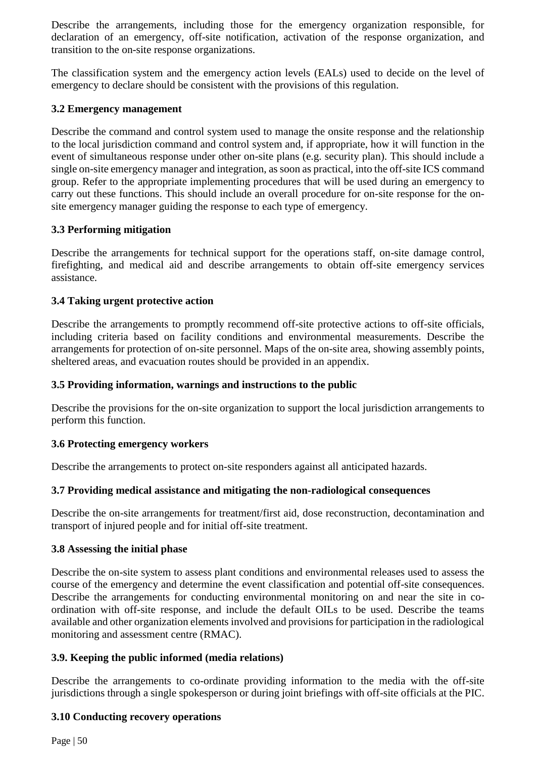Describe the arrangements, including those for the emergency organization responsible, for declaration of an emergency, off-site notification, activation of the response organization, and transition to the on-site response organizations.

The classification system and the emergency action levels (EALs) used to decide on the level of emergency to declare should be consistent with the provisions of this regulation.

#### **3.2 Emergency management**

Describe the command and control system used to manage the onsite response and the relationship to the local jurisdiction command and control system and, if appropriate, how it will function in the event of simultaneous response under other on-site plans (e.g. security plan). This should include a single on-site emergency manager and integration, as soon as practical, into the off-site ICS command group. Refer to the appropriate implementing procedures that will be used during an emergency to carry out these functions. This should include an overall procedure for on-site response for the onsite emergency manager guiding the response to each type of emergency.

### **3.3 Performing mitigation**

Describe the arrangements for technical support for the operations staff, on-site damage control, firefighting, and medical aid and describe arrangements to obtain off-site emergency services assistance.

### **3.4 Taking urgent protective action**

Describe the arrangements to promptly recommend off-site protective actions to off-site officials, including criteria based on facility conditions and environmental measurements. Describe the arrangements for protection of on-site personnel. Maps of the on-site area, showing assembly points, sheltered areas, and evacuation routes should be provided in an appendix.

### **3.5 Providing information, warnings and instructions to the public**

Describe the provisions for the on-site organization to support the local jurisdiction arrangements to perform this function.

### **3.6 Protecting emergency workers**

Describe the arrangements to protect on-site responders against all anticipated hazards.

### **3.7 Providing medical assistance and mitigating the non-radiological consequences**

Describe the on-site arrangements for treatment/first aid, dose reconstruction, decontamination and transport of injured people and for initial off-site treatment.

### **3.8 Assessing the initial phase**

Describe the on-site system to assess plant conditions and environmental releases used to assess the course of the emergency and determine the event classification and potential off-site consequences. Describe the arrangements for conducting environmental monitoring on and near the site in coordination with off-site response, and include the default OILs to be used. Describe the teams available and other organization elements involved and provisions for participation in the radiological monitoring and assessment centre (RMAC).

### **3.9. Keeping the public informed (media relations)**

Describe the arrangements to co-ordinate providing information to the media with the off-site jurisdictions through a single spokesperson or during joint briefings with off-site officials at the PIC.

### **3.10 Conducting recovery operations**

Page | 50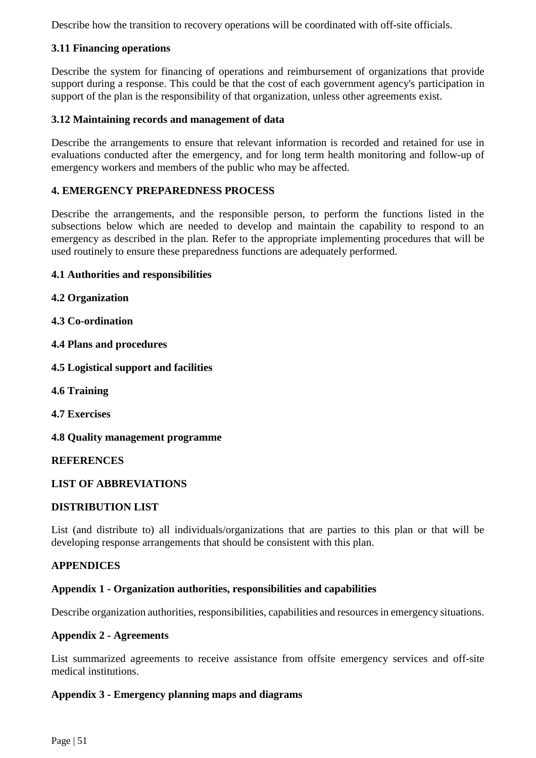Describe how the transition to recovery operations will be coordinated with off-site officials.

### **3.11 Financing operations**

Describe the system for financing of operations and reimbursement of organizations that provide support during a response. This could be that the cost of each government agency's participation in support of the plan is the responsibility of that organization, unless other agreements exist.

#### **3.12 Maintaining records and management of data**

Describe the arrangements to ensure that relevant information is recorded and retained for use in evaluations conducted after the emergency, and for long term health monitoring and follow-up of emergency workers and members of the public who may be affected.

### **4. EMERGENCY PREPAREDNESS PROCESS**

Describe the arrangements, and the responsible person, to perform the functions listed in the subsections below which are needed to develop and maintain the capability to respond to an emergency as described in the plan. Refer to the appropriate implementing procedures that will be used routinely to ensure these preparedness functions are adequately performed.

#### **4.1 Authorities and responsibilities**

- **4.2 Organization**
- **4.3 Co-ordination**
- **4.4 Plans and procedures**
- **4.5 Logistical support and facilities**
- **4.6 Training**
- **4.7 Exercises**
- **4.8 Quality management programme**

#### **REFERENCES**

### **LIST OF ABBREVIATIONS**

#### **DISTRIBUTION LIST**

List (and distribute to) all individuals/organizations that are parties to this plan or that will be developing response arrangements that should be consistent with this plan.

#### **APPENDICES**

#### **Appendix 1 - Organization authorities, responsibilities and capabilities**

Describe organization authorities, responsibilities, capabilities and resources in emergency situations.

#### **Appendix 2 - Agreements**

List summarized agreements to receive assistance from offsite emergency services and off-site medical institutions.

#### **Appendix 3 - Emergency planning maps and diagrams**